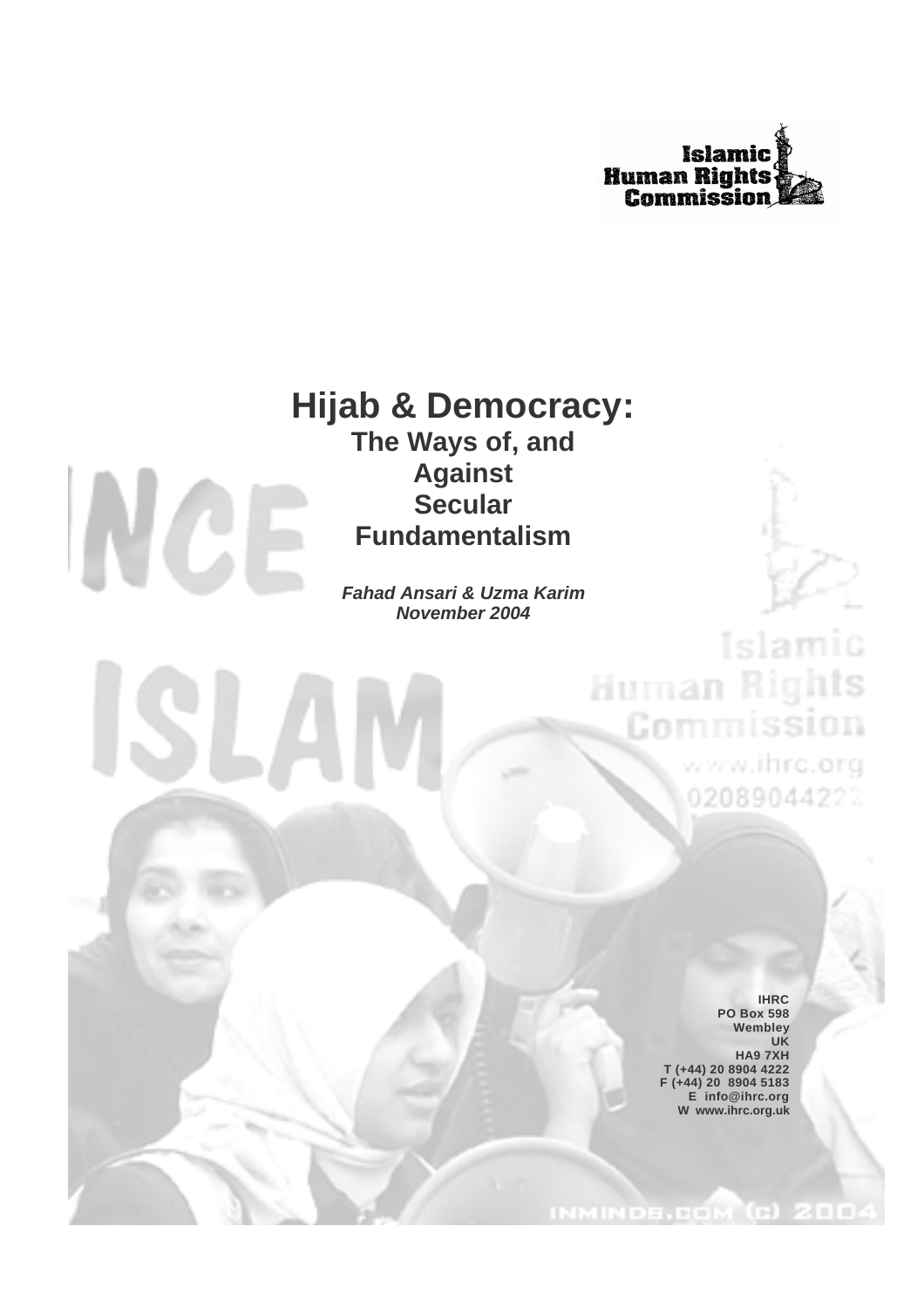

# **Hijab & Democracy:**



**The Ways of, and Against Secular Fundamentalism**

*Fahad Ansari & Uzma Karim November 2004*

> **IHRC PO Box 598 Wembley UK HA9 7XH T (+44) 20 8904 4222 F (+44) 20 8904 5183 E info@ihrc.org W www.ihrc.org.uk**

Islamic

Human Rights

Commission

www.ihrc.org

02089044222

INMINDE.COM (C) 200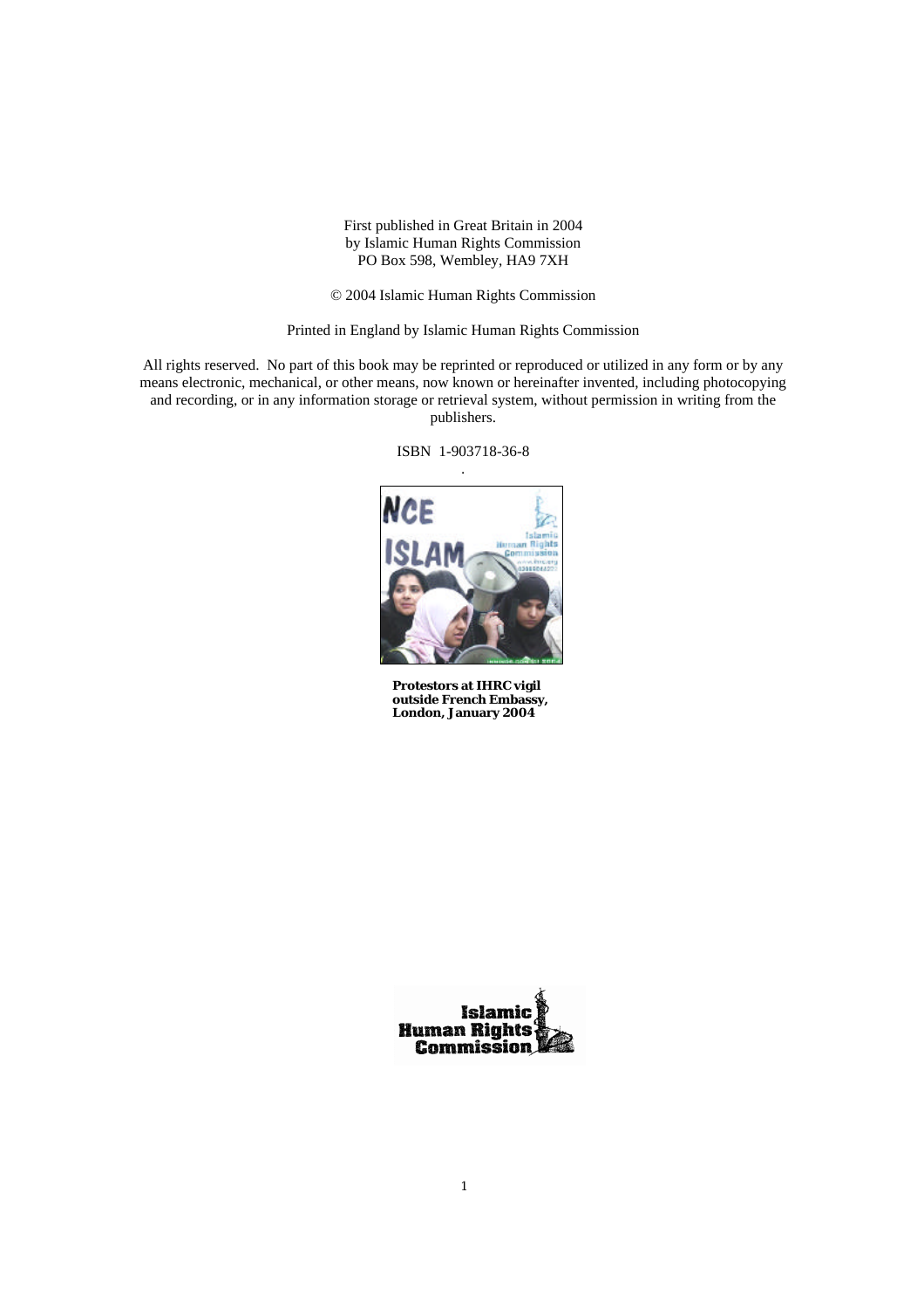First published in Great Britain in 2004 by Islamic Human Rights Commission PO Box 598, Wembley, HA9 7XH

© 2004 Islamic Human Rights Commission

Printed in England by Islamic Human Rights Commission

All rights reserved. No part of this book may be reprinted or reproduced or utilized in any form or by any means electronic, mechanical, or other means, now known or hereinafter invented, including photocopying and recording, or in any information storage or retrieval system, without permission in writing from the publishers.

ISBN 1-903718-36-8



**Protestors at IHRC vigil outside French Embassy, London, January 2004**

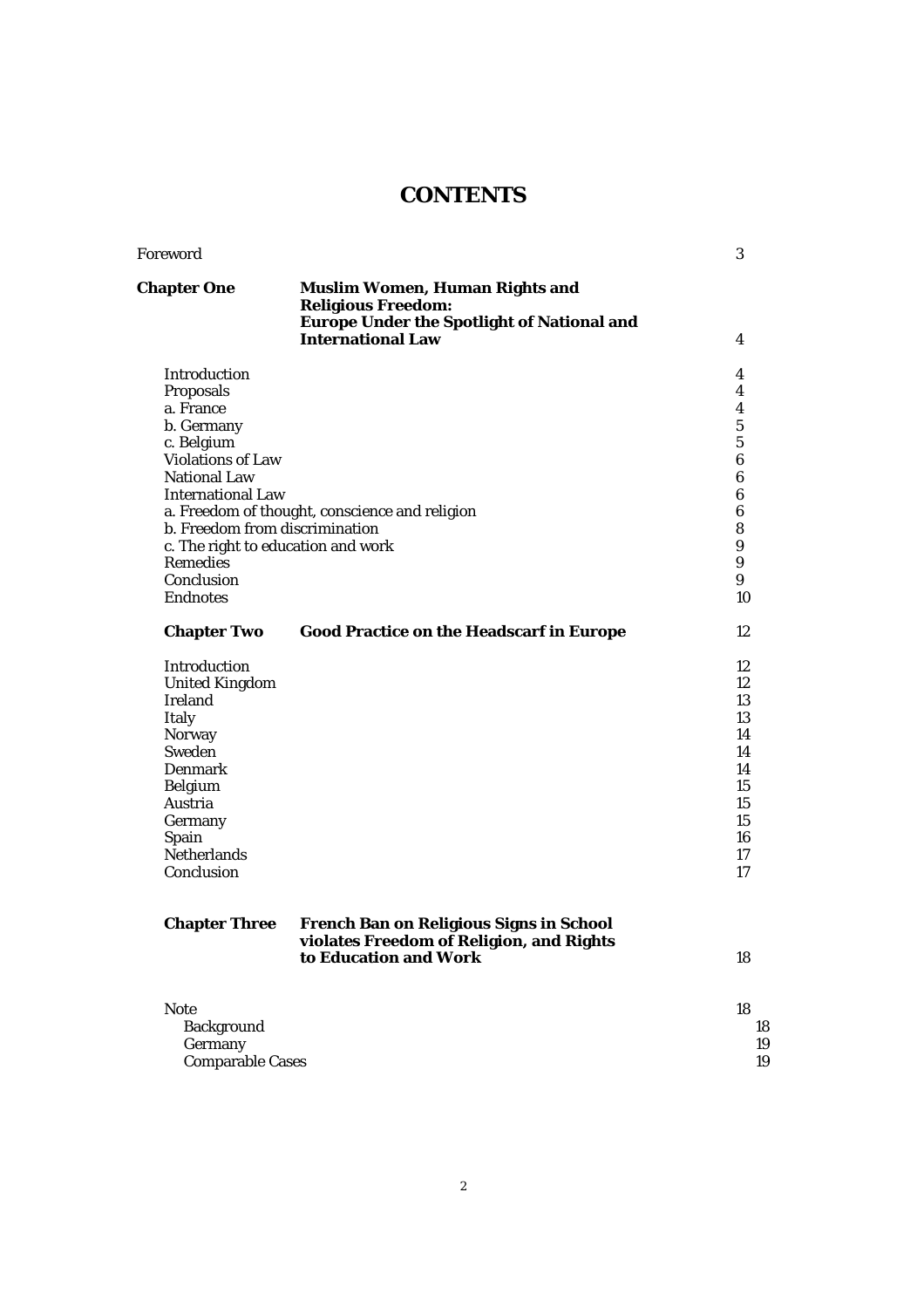# **CONTENTS**

| <b>Muslim Women, Human Rights and</b><br><b>Religious Freedom:</b><br><b>Europe Under the Spotlight of National and</b><br><b>International Law</b> | 4                                                                                                                                                                  |
|-----------------------------------------------------------------------------------------------------------------------------------------------------|--------------------------------------------------------------------------------------------------------------------------------------------------------------------|
|                                                                                                                                                     |                                                                                                                                                                    |
|                                                                                                                                                     | 4                                                                                                                                                                  |
|                                                                                                                                                     | 4                                                                                                                                                                  |
|                                                                                                                                                     | 4                                                                                                                                                                  |
|                                                                                                                                                     | $\overline{5}$                                                                                                                                                     |
|                                                                                                                                                     | $\overline{5}$                                                                                                                                                     |
|                                                                                                                                                     | $\boldsymbol{6}$                                                                                                                                                   |
|                                                                                                                                                     | 6                                                                                                                                                                  |
|                                                                                                                                                     | 6                                                                                                                                                                  |
|                                                                                                                                                     | 6                                                                                                                                                                  |
|                                                                                                                                                     | 8<br>9                                                                                                                                                             |
|                                                                                                                                                     | 9                                                                                                                                                                  |
|                                                                                                                                                     | 9                                                                                                                                                                  |
|                                                                                                                                                     | 10                                                                                                                                                                 |
| <b>Good Practice on the Headscarf in Europe</b>                                                                                                     | 12                                                                                                                                                                 |
|                                                                                                                                                     | 12                                                                                                                                                                 |
|                                                                                                                                                     | 12                                                                                                                                                                 |
|                                                                                                                                                     | 13                                                                                                                                                                 |
|                                                                                                                                                     | 13                                                                                                                                                                 |
|                                                                                                                                                     | 14                                                                                                                                                                 |
|                                                                                                                                                     | 14                                                                                                                                                                 |
|                                                                                                                                                     | 14                                                                                                                                                                 |
|                                                                                                                                                     | 15                                                                                                                                                                 |
|                                                                                                                                                     | 15                                                                                                                                                                 |
|                                                                                                                                                     | 15                                                                                                                                                                 |
|                                                                                                                                                     | 16                                                                                                                                                                 |
|                                                                                                                                                     | 17                                                                                                                                                                 |
|                                                                                                                                                     | 17                                                                                                                                                                 |
| <b>French Ban on Religious Signs in School</b>                                                                                                      |                                                                                                                                                                    |
| to Education and Work                                                                                                                               | 18                                                                                                                                                                 |
|                                                                                                                                                     | 18                                                                                                                                                                 |
|                                                                                                                                                     | 18                                                                                                                                                                 |
|                                                                                                                                                     | 19                                                                                                                                                                 |
| <b>Comparable Cases</b>                                                                                                                             | 19                                                                                                                                                                 |
|                                                                                                                                                     | a. Freedom of thought, conscience and religion<br>b. Freedom from discrimination<br>c. The right to education and work<br>violates Freedom of Religion, and Rights |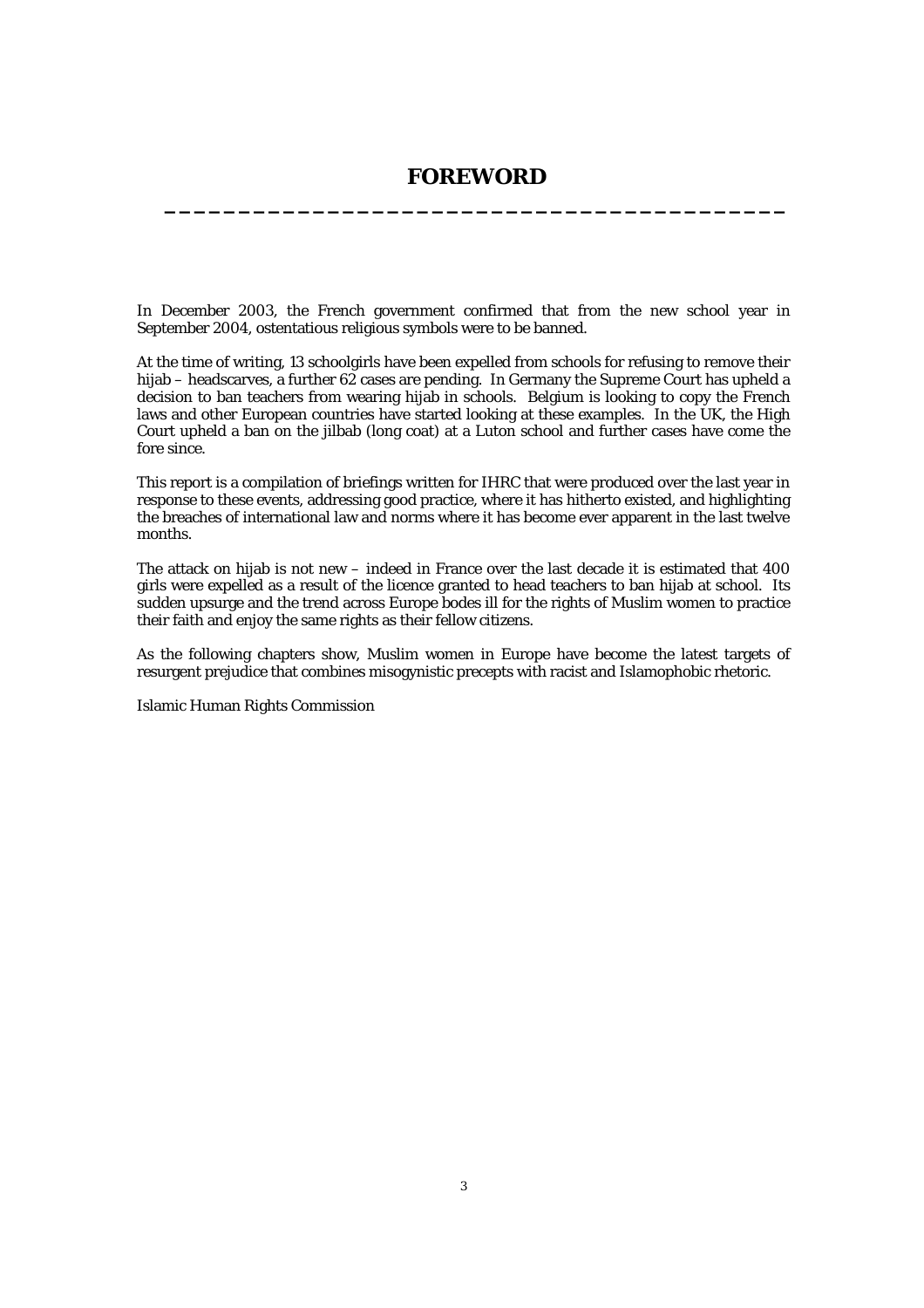# **FOREWORD \_\_\_\_\_\_\_\_\_\_\_\_\_\_\_\_\_\_\_\_\_\_\_\_\_\_\_\_\_\_\_\_\_\_\_\_\_\_\_\_\_\_**

In December 2003, the French government confirmed that from the new school year in September 2004, ostentatious religious symbols were to be banned.

At the time of writing, 13 schoolgirls have been expelled from schools for refusing to remove their hijab – headscarves, a further 62 cases are pending. In Germany the Supreme Court has upheld a decision to ban teachers from wearing hijab in schools. Belgium is looking to copy the French laws and other European countries have started looking at these examples. In the UK, the High Court upheld a ban on the jilbab (long coat) at a Luton school and further cases have come the fore since.

This report is a compilation of briefings written for IHRC that were produced over the last year in response to these events, addressing good practice, where it has hitherto existed, and highlighting the breaches of international law and norms where it has become ever apparent in the last twelve months.

The attack on hijab is not new – indeed in France over the last decade it is estimated that 400 girls were expelled as a result of the licence granted to head teachers to ban hijab at school. Its sudden upsurge and the trend across Europe bodes ill for the rights of Muslim women to practice their faith and enjoy the same rights as their fellow citizens.

As the following chapters show, Muslim women in Europe have become the latest targets of resurgent prejudice that combines misogynistic precepts with racist and Islamophobic rhetoric.

Islamic Human Rights Commission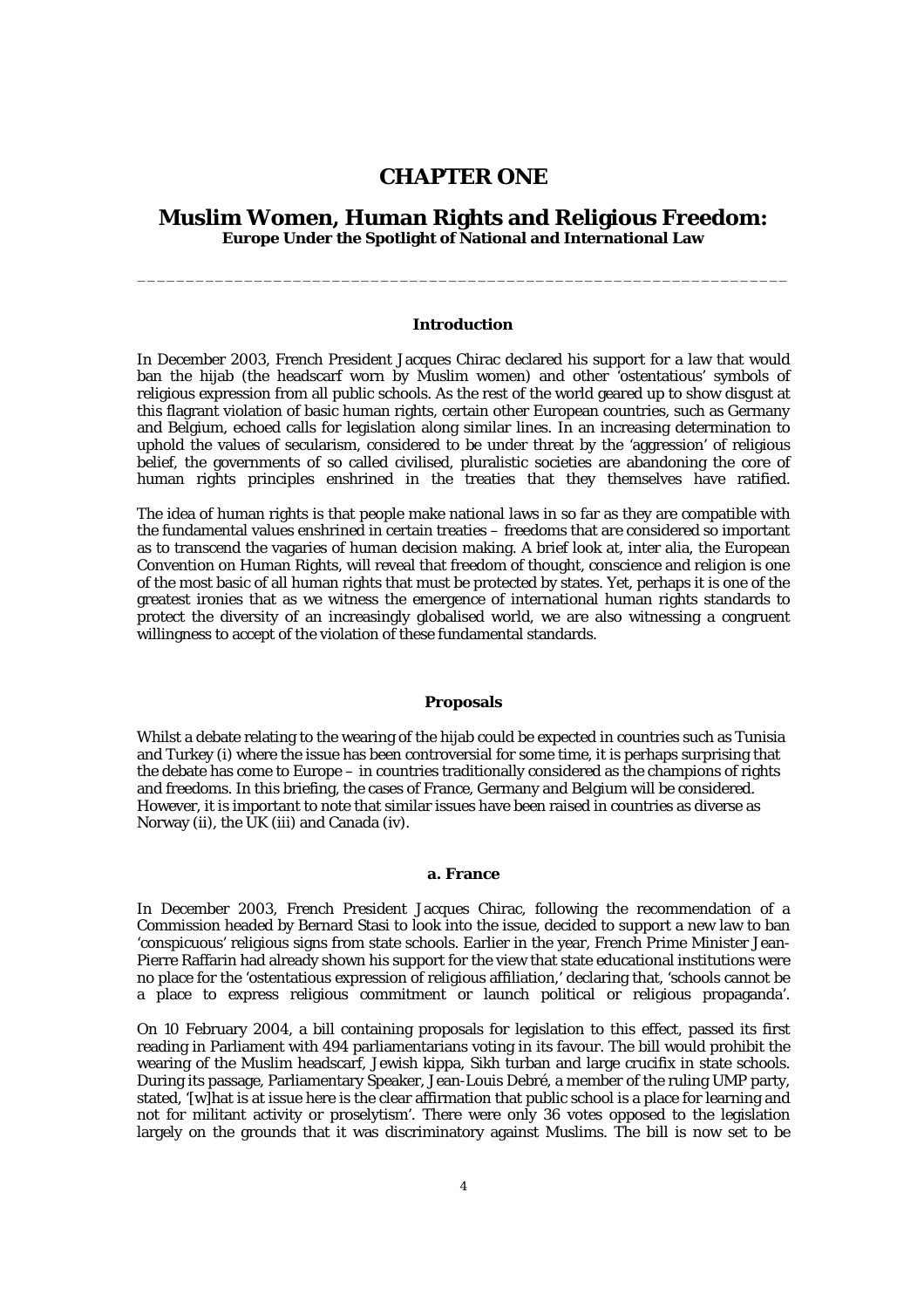# **CHAPTER ONE**

# **Muslim Women, Human Rights and Religious Freedom: Europe Under the Spotlight of National and International Law**

\_\_\_\_\_\_\_\_\_\_\_\_\_\_\_\_\_\_\_\_\_\_\_\_\_\_\_\_\_\_\_\_\_\_\_\_\_\_\_\_\_\_\_\_\_\_\_\_\_\_\_\_\_\_\_\_\_\_\_\_\_\_\_\_\_\_\_

# **Introduction**

In December 2003, French President Jacques Chirac declared his support for a law that would ban the hijab (the headscarf worn by Muslim women) and other 'ostentatious' symbols of religious expression from all public schools. As the rest of the world geared up to show disgust at this flagrant violation of basic human rights, certain other European countries, such as Germany and Belgium, echoed calls for legislation along similar lines. In an increasing determination to uphold the values of secularism, considered to be under threat by the 'aggression' of religious belief, the governments of so called civilised, pluralistic societies are abandoning the core of human rights principles enshrined in the treaties that they themselves have ratified.

The idea of human rights is that people make national laws in so far as they are compatible with the fundamental values enshrined in certain treaties – freedoms that are considered so important as to transcend the vagaries of human decision making. A brief look at, inter alia, the European Convention on Human Rights, will reveal that freedom of thought, conscience and religion is one of the most basic of all human rights that must be protected by states. Yet, perhaps it is one of the greatest ironies that as we witness the emergence of international human rights standards to protect the diversity of an increasingly globalised world, we are also witnessing a congruent willingness to accept of the violation of these fundamental standards.

# **Proposals**

Whilst a debate relating to the wearing of the hijab could be expected in countries such as Tunisia and Turkey (i) where the issue has been controversial for some time, it is perhaps surprising that the debate has come to Europe – in countries traditionally considered as the champions of rights and freedoms. In this briefing, the cases of France, Germany and Belgium will be considered. However, it is important to note that similar issues have been raised in countries as diverse as Norway (ii), the UK (iii) and Canada (iv).

# **a. France**

In December 2003, French President Jacques Chirac, following the recommendation of a Commission headed by Bernard Stasi to look into the issue, decided to support a new law to ban 'conspicuous' religious signs from state schools. Earlier in the year, French Prime Minister Jean-Pierre Raffarin had already shown his support for the view that state educational institutions were no place for the 'ostentatious expression of religious affiliation,' declaring that, 'schools cannot be a place to express religious commitment or launch political or religious propaganda'.

On 10 February 2004, a bill containing proposals for legislation to this effect, passed its first reading in Parliament with 494 parliamentarians voting in its favour. The bill would prohibit the wearing of the Muslim headscarf, Jewish kippa, Sikh turban and large crucifix in state schools. During its passage, Parliamentary Speaker, Jean-Louis Debré, a member of the ruling UMP party, stated, '[w]hat is at issue here is the clear affirmation that public school is a place for learning and not for militant activity or proselytism'. There were only 36 votes opposed to the legislation largely on the grounds that it was discriminatory against Muslims. The bill is now set to be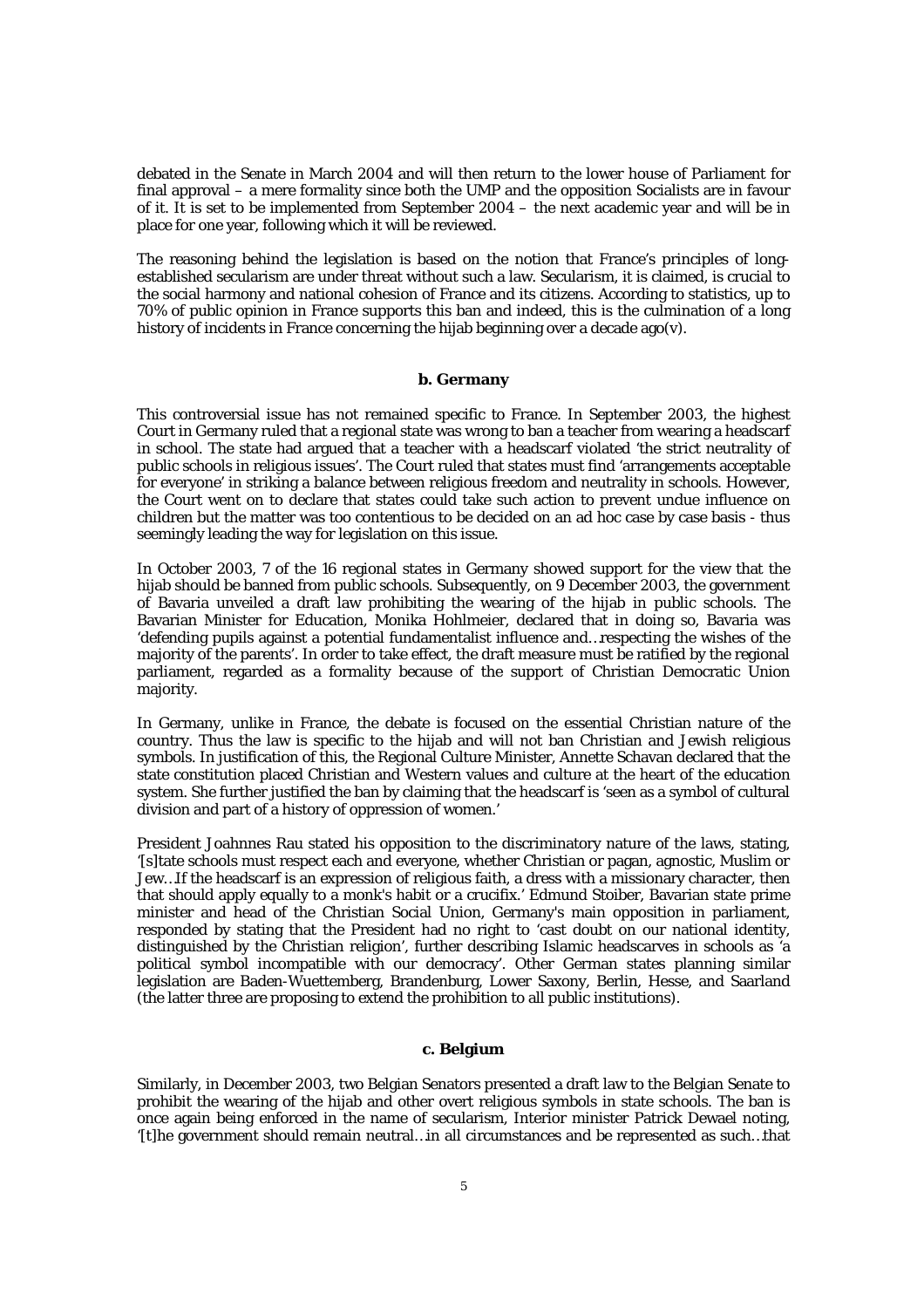debated in the Senate in March 2004 and will then return to the lower house of Parliament for final approval – a mere formality since both the UMP and the opposition Socialists are in favour of it. It is set to be implemented from September 2004 – the next academic year and will be in place for one year, following which it will be reviewed.

The reasoning behind the legislation is based on the notion that France's principles of longestablished secularism are under threat without such a law. Secularism, it is claimed, is crucial to the social harmony and national cohesion of France and its citizens. According to statistics, up to 70% of public opinion in France supports this ban and indeed, this is the culmination of a long history of incidents in France concerning the hijab beginning over a decade ago(v).

# **b. Germany**

This controversial issue has not remained specific to France. In September 2003, the highest Court in Germany ruled that a regional state was wrong to ban a teacher from wearing a headscarf in school. The state had argued that a teacher with a headscarf violated 'the strict neutrality of public schools in religious issues'. The Court ruled that states must find 'arrangements acceptable for everyone' in striking a balance between religious freedom and neutrality in schools. However, the Court went on to declare that states could take such action to prevent undue influence on children but the matter was too contentious to be decided on an ad hoc case by case basis - thus seemingly leading the way for legislation on this issue.

In October 2003, 7 of the 16 regional states in Germany showed support for the view that the hijab should be banned from public schools. Subsequently, on 9 December 2003, the government of Bavaria unveiled a draft law prohibiting the wearing of the hijab in public schools. The Bavarian Minister for Education, Monika Hohlmeier, declared that in doing so, Bavaria was 'defending pupils against a potential fundamentalist influence and…respecting the wishes of the majority of the parents'. In order to take effect, the draft measure must be ratified by the regional parliament, regarded as a formality because of the support of Christian Democratic Union majority.

In Germany, unlike in France, the debate is focused on the essential Christian nature of the country. Thus the law is specific to the hijab and will not ban Christian and Jewish religious symbols. In justification of this, the Regional Culture Minister, Annette Schavan declared that the state constitution placed Christian and Western values and culture at the heart of the education system. She further justified the ban by claiming that the headscarf is 'seen as a symbol of cultural division and part of a history of oppression of women.'

President Joahnnes Rau stated his opposition to the discriminatory nature of the laws, stating, '[s]tate schools must respect each and everyone, whether Christian or pagan, agnostic, Muslim or Jew…If the headscarf is an expression of religious faith, a dress with a missionary character, then that should apply equally to a monk's habit or a crucifix.' Edmund Stoiber, Bavarian state prime minister and head of the Christian Social Union, Germany's main opposition in parliament, responded by stating that the President had no right to 'cast doubt on our national identity, distinguished by the Christian religion', further describing Islamic headscarves in schools as 'a political symbol incompatible with our democracy'. Other German states planning similar legislation are Baden-Wuettemberg, Brandenburg, Lower Saxony, Berlin, Hesse, and Saarland (the latter three are proposing to extend the prohibition to all public institutions).

# **c. Belgium**

Similarly, in December 2003, two Belgian Senators presented a draft law to the Belgian Senate to prohibit the wearing of the hijab and other overt religious symbols in state schools. The ban is once again being enforced in the name of secularism, Interior minister Patrick Dewael noting, '[t]he government should remain neutral…in all circumstances and be represented as such…that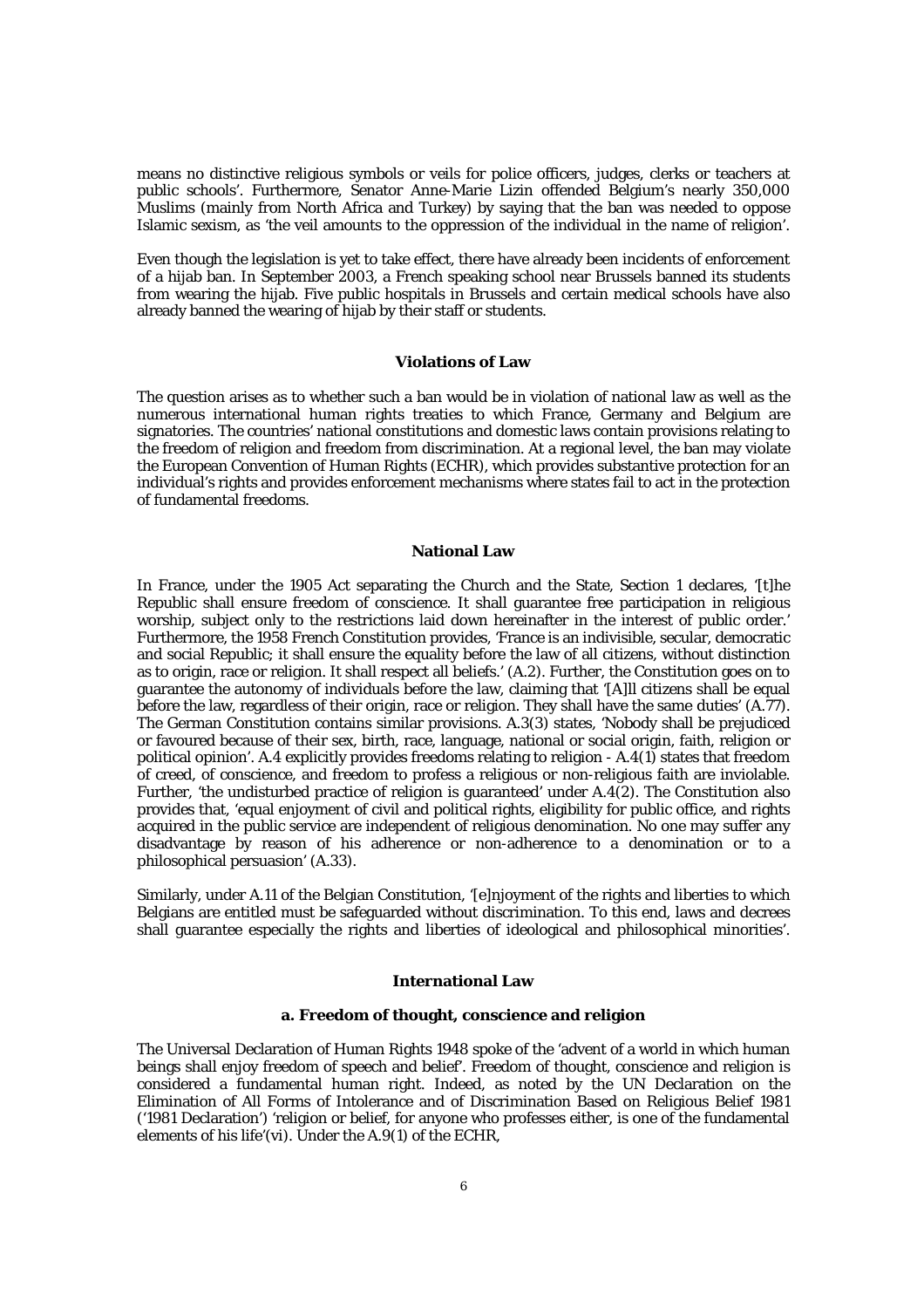means no distinctive religious symbols or veils for police officers, judges, clerks or teachers at public schools'. Furthermore, Senator Anne-Marie Lizin offended Belgium's nearly 350,000 Muslims (mainly from North Africa and Turkey) by saying that the ban was needed to oppose Islamic sexism, as 'the veil amounts to the oppression of the individual in the name of religion'.

Even though the legislation is yet to take effect, there have already been incidents of enforcement of a hijab ban. In September 2003, a French speaking school near Brussels banned its students from wearing the hijab. Five public hospitals in Brussels and certain medical schools have also already banned the wearing of hijab by their staff or students.

#### **Violations of Law**

The question arises as to whether such a ban would be in violation of national law as well as the numerous international human rights treaties to which France, Germany and Belgium are signatories. The countries' national constitutions and domestic laws contain provisions relating to the freedom of religion and freedom from discrimination. At a regional level, the ban may violate the European Convention of Human Rights (ECHR), which provides substantive protection for an individual's rights and provides enforcement mechanisms where states fail to act in the protection of fundamental freedoms.

# **National Law**

In France, under the 1905 Act separating the Church and the State, Section 1 declares, '[t]he Republic shall ensure freedom of conscience. It shall guarantee free participation in religious worship, subject only to the restrictions laid down hereinafter in the interest of public order.' Furthermore, the 1958 French Constitution provides, 'France is an indivisible, secular, democratic and social Republic; it shall ensure the equality before the law of all citizens, without distinction as to origin, race or religion. It shall respect all beliefs.' (A.2). Further, the Constitution goes on to guarantee the autonomy of individuals before the law, claiming that '[A]ll citizens shall be equal before the law, regardless of their origin, race or religion. They shall have the same duties' (A.77). The German Constitution contains similar provisions. A.3(3) states, 'Nobody shall be prejudiced or favoured because of their sex, birth, race, language, national or social origin, faith, religion or political opinion'. A.4 explicitly provides freedoms relating to religion - A.4(1) states that freedom of creed, of conscience, and freedom to profess a religious or non-religious faith are inviolable. Further, 'the undisturbed practice of religion is guaranteed' under A.4(2). The Constitution also provides that, 'equal enjoyment of civil and political rights, eligibility for public office, and rights acquired in the public service are independent of religious denomination. No one may suffer any disadvantage by reason of his adherence or non-adherence to a denomination or to a philosophical persuasion' (A.33).

Similarly, under A.11 of the Belgian Constitution, '[e]njoyment of the rights and liberties to which Belgians are entitled must be safeguarded without discrimination. To this end, laws and decrees shall guarantee especially the rights and liberties of ideological and philosophical minorities'.

# **International Law**

### **a. Freedom of thought, conscience and religion**

The Universal Declaration of Human Rights 1948 spoke of the 'advent of a world in which human beings shall enjoy freedom of speech and belief'. Freedom of thought, conscience and religion is considered a fundamental human right. Indeed, as noted by the UN Declaration on the Elimination of All Forms of Intolerance and of Discrimination Based on Religious Belief 1981 ('1981 Declaration') 'religion or belief, for anyone who professes either, is one of the fundamental elements of his life'(vi). Under the A.9(1) of the ECHR,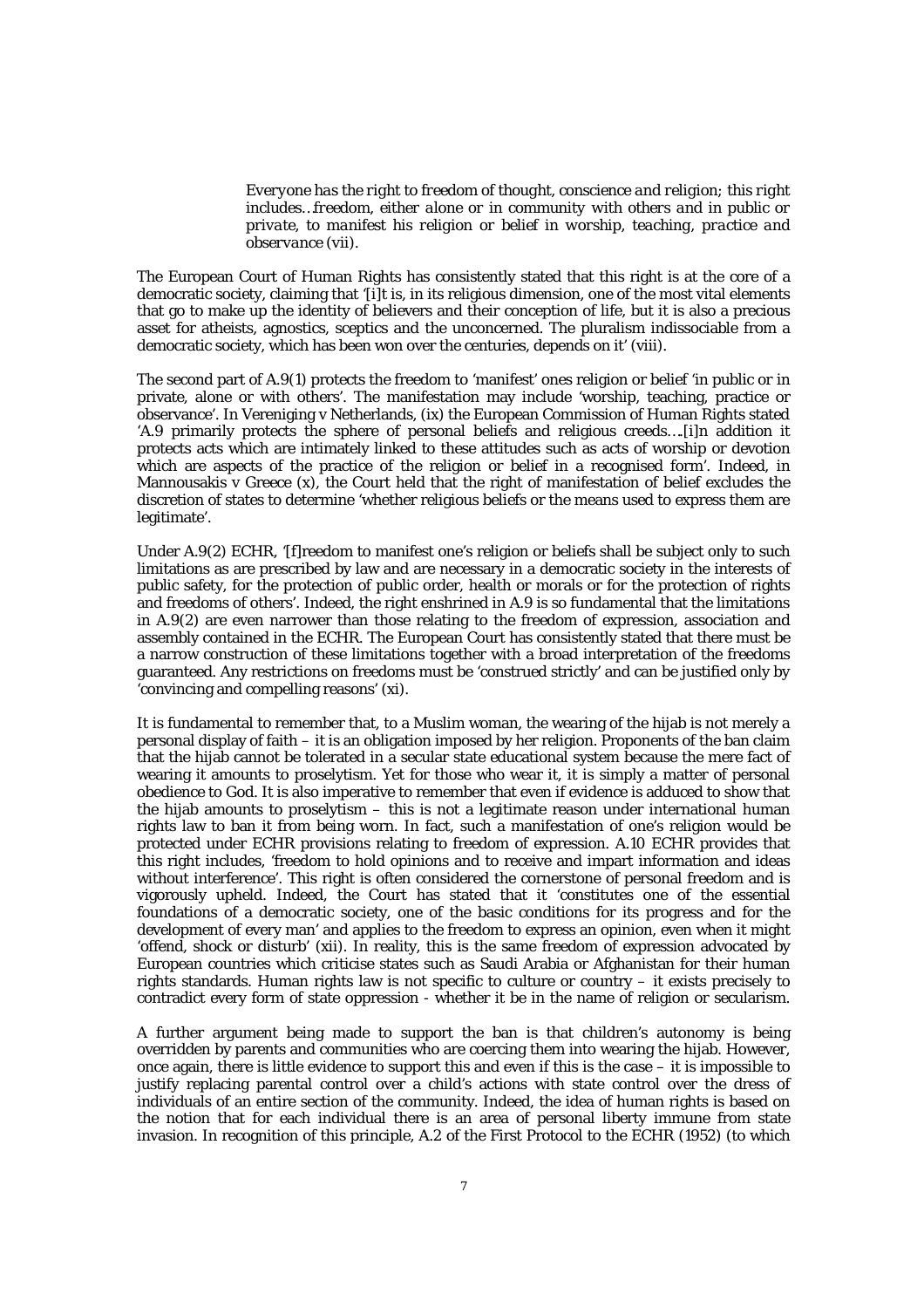*Everyone has the right to freedom of thought, conscience and religion; this right includes…freedom, either alone or in community with others and in public or private, to manifest his religion or belief in worship, teaching, practice and observance (vii).*

The European Court of Human Rights has consistently stated that this right is at the core of a democratic society, claiming that '[i]t is, in its religious dimension, one of the most vital elements that go to make up the identity of believers and their conception of life, but it is also a precious asset for atheists, agnostics, sceptics and the unconcerned. The pluralism indissociable from a democratic society, which has been won over the centuries, depends on it' (viii).

The second part of A.9(1) protects the freedom to 'manifest' ones religion or belief 'in public or in private, alone or with others'. The manifestation may include 'worship, teaching, practice or observance'. In Vereniging v Netherlands, (ix) the European Commission of Human Rights stated 'A.9 primarily protects the sphere of personal beliefs and religious creeds….[i]n addition it protects acts which are intimately linked to these attitudes such as acts of worship or devotion which are aspects of the practice of the religion or belief in a recognised form'. Indeed, in Mannousakis v Greece  $(x)$ , the Court held that the right of manifestation of belief excludes the discretion of states to determine 'whether religious beliefs or the means used to express them are legitimate'.

Under A.9(2) ECHR, '[f]reedom to manifest one's religion or beliefs shall be subject only to such limitations as are prescribed by law and are necessary in a democratic society in the interests of public safety, for the protection of public order, health or morals or for the protection of rights and freedoms of others'. Indeed, the right enshrined in A.9 is so fundamental that the limitations in A.9(2) are even narrower than those relating to the freedom of expression, association and assembly contained in the ECHR. The European Court has consistently stated that there must be a narrow construction of these limitations together with a broad interpretation of the freedoms guaranteed. Any restrictions on freedoms must be 'construed strictly' and can be justified only by 'convincing and compelling reasons' (xi).

It is fundamental to remember that, to a Muslim woman, the wearing of the hijab is not merely a personal display of faith – it is an obligation imposed by her religion. Proponents of the ban claim that the hijab cannot be tolerated in a secular state educational system because the mere fact of wearing it amounts to proselytism. Yet for those who wear it, it is simply a matter of personal obedience to God. It is also imperative to remember that even if evidence is adduced to show that the hijab amounts to proselytism – this is not a legitimate reason under international human rights law to ban it from being worn. In fact, such a manifestation of one's religion would be protected under ECHR provisions relating to freedom of expression. A.10 ECHR provides that this right includes, 'freedom to hold opinions and to receive and impart information and ideas without interference'. This right is often considered the cornerstone of personal freedom and is vigorously upheld. Indeed, the Court has stated that it 'constitutes one of the essential foundations of a democratic society, one of the basic conditions for its progress and for the development of every man' and applies to the freedom to express an opinion, even when it might 'offend, shock or disturb' (xii). In reality, this is the same freedom of expression advocated by European countries which criticise states such as Saudi Arabia or Afghanistan for their human rights standards. Human rights law is not specific to culture or country – it exists precisely to contradict every form of state oppression - whether it be in the name of religion or secularism.

A further argument being made to support the ban is that children's autonomy is being overridden by parents and communities who are coercing them into wearing the hijab. However, once again, there is little evidence to support this and even if this is the case – it is impossible to justify replacing parental control over a child's actions with state control over the dress of individuals of an entire section of the community. Indeed, the idea of human rights is based on the notion that for each individual there is an area of personal liberty immune from state invasion. In recognition of this principle, A.2 of the First Protocol to the ECHR (1952) (to which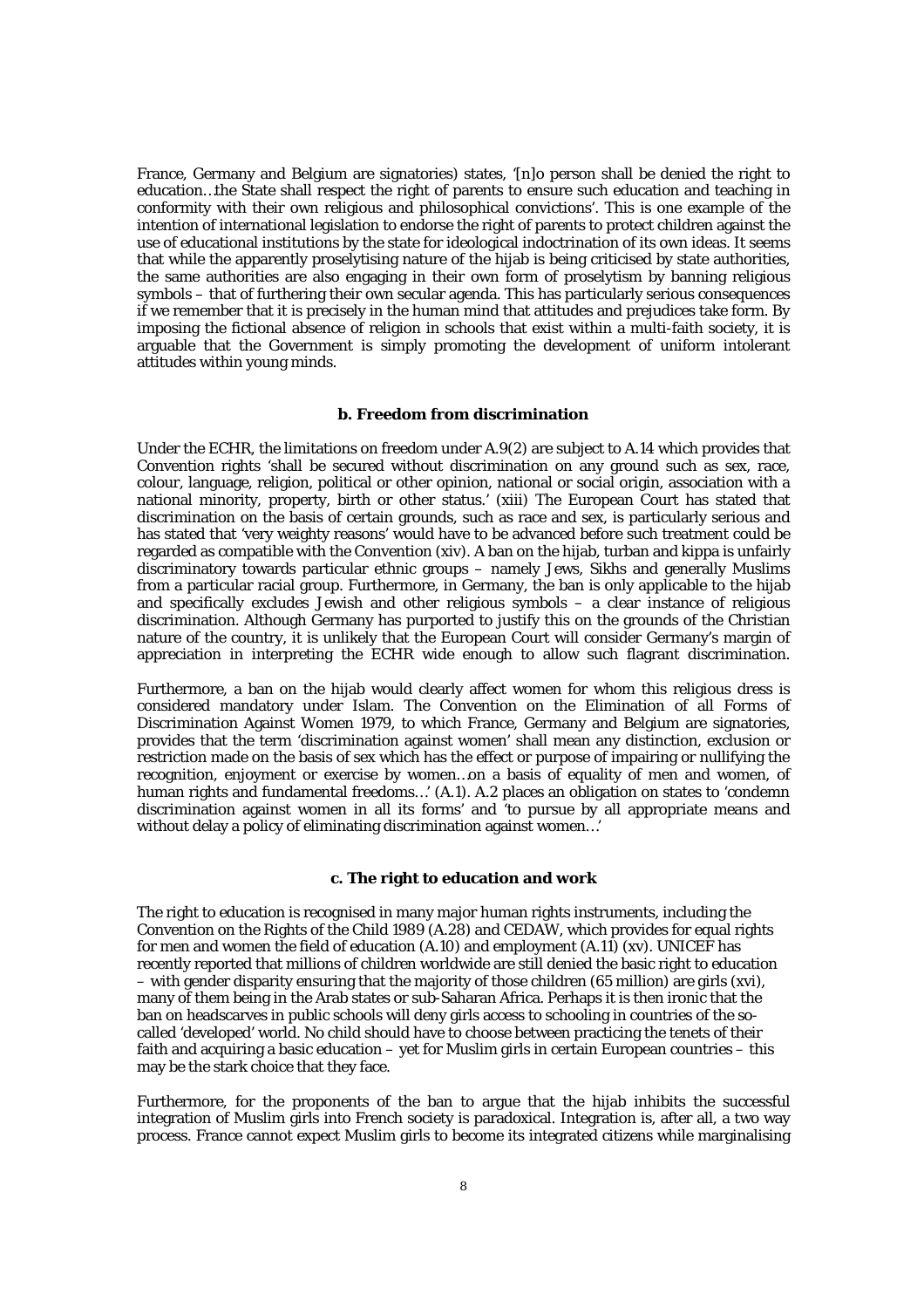France, Germany and Belgium are signatories) states, '[n]o person shall be denied the right to education…the State shall respect the right of parents to ensure such education and teaching in conformity with their own religious and philosophical convictions'. This is one example of the intention of international legislation to endorse the right of parents to protect children against the use of educational institutions by the state for ideological indoctrination of its own ideas. It seems that while the apparently proselytising nature of the hijab is being criticised by state authorities, the same authorities are also engaging in their own form of proselytism by banning religious symbols – that of furthering their own secular agenda. This has particularly serious consequences if we remember that it is precisely in the human mind that attitudes and prejudices take form. By imposing the fictional absence of religion in schools that exist within a multi-faith society, it is arguable that the Government is simply promoting the development of uniform intolerant attitudes within young minds.

#### **b. Freedom from discrimination**

Under the ECHR, the limitations on freedom under A.9(2) are subject to A.14 which provides that Convention rights 'shall be secured without discrimination on any ground such as sex, race, colour, language, religion, political or other opinion, national or social origin, association with a national minority, property, birth or other status.' (xiii) The European Court has stated that discrimination on the basis of certain grounds, such as race and sex, is particularly serious and has stated that 'very weighty reasons' would have to be advanced before such treatment could be regarded as compatible with the Convention (xiv). A ban on the hijab, turban and kippa is unfairly discriminatory towards particular ethnic groups – namely Jews, Sikhs and generally Muslims from a particular racial group. Furthermore, in Germany, the ban is only applicable to the hijab and specifically excludes Jewish and other religious symbols – a clear instance of religious discrimination. Although Germany has purported to justify this on the grounds of the Christian nature of the country, it is unlikely that the European Court will consider Germany's margin of appreciation in interpreting the ECHR wide enough to allow such flagrant discrimination.

Furthermore, a ban on the hijab would clearly affect women for whom this religious dress is considered mandatory under Islam. The Convention on the Elimination of all Forms of Discrimination Against Women 1979, to which France, Germany and Belgium are signatories, provides that the term 'discrimination against women' shall mean any distinction, exclusion or restriction made on the basis of sex which has the effect or purpose of impairing or nullifying the recognition, enjoyment or exercise by women…on a basis of equality of men and women, of human rights and fundamental freedoms...' (A.1). A.2 places an obligation on states to 'condemn discrimination against women in all its forms' and 'to pursue by all appropriate means and without delay a policy of eliminating discrimination against women...

# **c. The right to education and work**

The right to education is recognised in many major human rights instruments, including the Convention on the Rights of the Child 1989 (A.28) and CEDAW, which provides for equal rights for men and women the field of education (A.10) and employment (A.11) (xv). UNICEF has recently reported that millions of children worldwide are still denied the basic right to education – with gender disparity ensuring that the majority of those children (65 million) are girls (xvi), many of them being in the Arab states or sub-Saharan Africa. Perhaps it is then ironic that the ban on headscarves in public schools will deny girls access to schooling in countries of the socalled 'developed' world. No child should have to choose between practicing the tenets of their faith and acquiring a basic education – yet for Muslim girls in certain European countries – this may be the stark choice that they face.

Furthermore, for the proponents of the ban to argue that the hijab inhibits the successful integration of Muslim girls into French society is paradoxical. Integration is, after all, a two way process. France cannot expect Muslim girls to become its integrated citizens while marginalising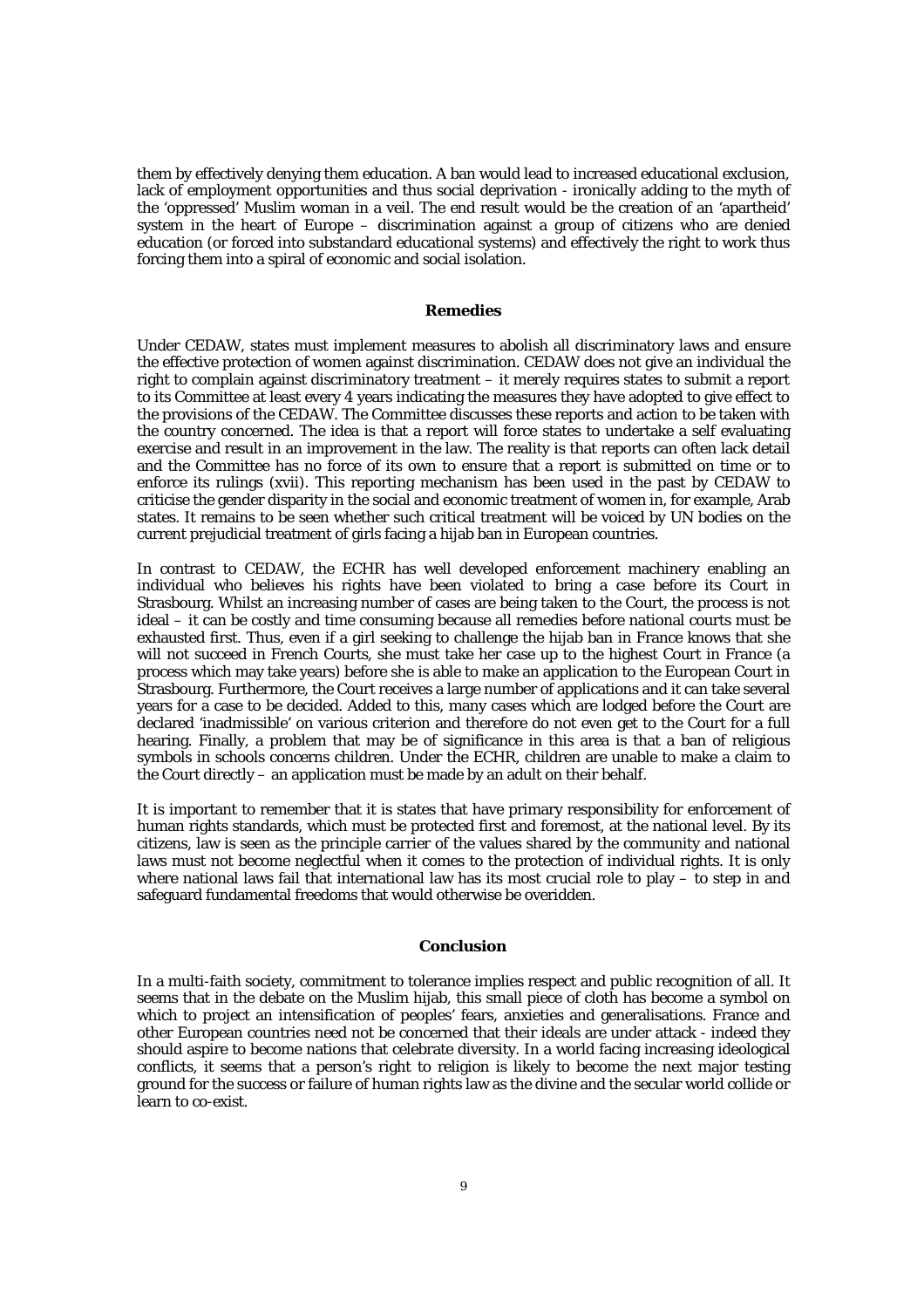them by effectively denying them education. A ban would lead to increased educational exclusion, lack of employment opportunities and thus social deprivation - ironically adding to the myth of the 'oppressed' Muslim woman in a veil. The end result would be the creation of an 'apartheid' system in the heart of Europe – discrimination against a group of citizens who are denied education (or forced into substandard educational systems) and effectively the right to work thus forcing them into a spiral of economic and social isolation.

# **Remedies**

Under CEDAW, states must implement measures to abolish all discriminatory laws and ensure the effective protection of women against discrimination. CEDAW does not give an individual the right to complain against discriminatory treatment – it merely requires states to submit a report to its Committee at least every 4 years indicating the measures they have adopted to give effect to the provisions of the CEDAW. The Committee discusses these reports and action to be taken with the country concerned. The idea is that a report will force states to undertake a self evaluating exercise and result in an improvement in the law. The reality is that reports can often lack detail and the Committee has no force of its own to ensure that a report is submitted on time or to enforce its rulings (xvii). This reporting mechanism has been used in the past by CEDAW to criticise the gender disparity in the social and economic treatment of women in, for example, Arab states. It remains to be seen whether such critical treatment will be voiced by UN bodies on the current prejudicial treatment of girls facing a hijab ban in European countries.

In contrast to CEDAW, the ECHR has well developed enforcement machinery enabling an individual who believes his rights have been violated to bring a case before its Court in Strasbourg. Whilst an increasing number of cases are being taken to the Court, the process is not ideal – it can be costly and time consuming because all remedies before national courts must be exhausted first. Thus, even if a girl seeking to challenge the hijab ban in France knows that she will not succeed in French Courts, she must take her case up to the highest Court in France (a process which may take years) before she is able to make an application to the European Court in Strasbourg. Furthermore, the Court receives a large number of applications and it can take several years for a case to be decided. Added to this, many cases which are lodged before the Court are declared 'inadmissible' on various criterion and therefore do not even get to the Court for a full hearing. Finally, a problem that may be of significance in this area is that a ban of religious symbols in schools concerns children. Under the ECHR, children are unable to make a claim to the Court directly – an application must be made by an adult on their behalf.

It is important to remember that it is states that have primary responsibility for enforcement of human rights standards, which must be protected first and foremost, at the national level. By its citizens, law is seen as the principle carrier of the values shared by the community and national laws must not become neglectful when it comes to the protection of individual rights. It is only where national laws fail that international law has its most crucial role to play – to step in and safeguard fundamental freedoms that would otherwise be overidden.

# **Conclusion**

In a multi-faith society, commitment to tolerance implies respect and public recognition of all. It seems that in the debate on the Muslim hijab, this small piece of cloth has become a symbol on which to project an intensification of peoples' fears, anxieties and generalisations. France and other European countries need not be concerned that their ideals are under attack - indeed they should aspire to become nations that celebrate diversity. In a world facing increasing ideological conflicts, it seems that a person's right to religion is likely to become the next major testing ground for the success or failure of human rights law as the divine and the secular world collide or learn to co-exist.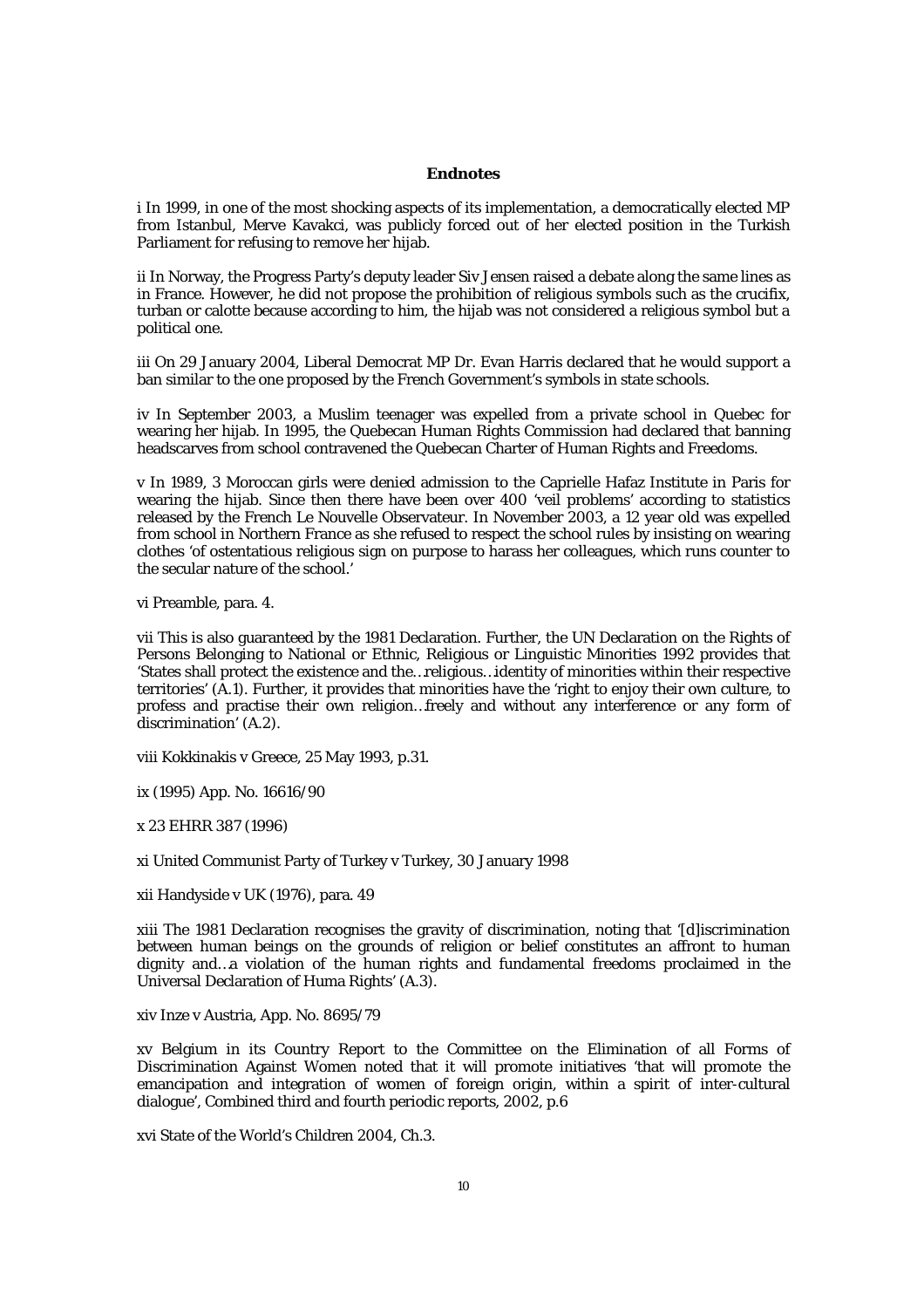## **Endnotes**

i In 1999, in one of the most shocking aspects of its implementation, a democratically elected MP from Istanbul, Merve Kavakci, was publicly forced out of her elected position in the Turkish Parliament for refusing to remove her hijab.

ii In Norway, the Progress Party's deputy leader Siv Jensen raised a debate along the same lines as in France. However, he did not propose the prohibition of religious symbols such as the crucifix, turban or calotte because according to him, the hijab was not considered a religious symbol but a political one.

iii On 29 January 2004, Liberal Democrat MP Dr. Evan Harris declared that he would support a ban similar to the one proposed by the French Government's symbols in state schools.

iv In September 2003, a Muslim teenager was expelled from a private school in Quebec for wearing her hijab. In 1995, the Quebecan Human Rights Commission had declared that banning headscarves from school contravened the Quebecan Charter of Human Rights and Freedoms.

v In 1989, 3 Moroccan girls were denied admission to the Caprielle Hafaz Institute in Paris for wearing the hijab. Since then there have been over 400 'veil problems' according to statistics released by the French Le Nouvelle Observateur. In November 2003, a 12 year old was expelled from school in Northern France as she refused to respect the school rules by insisting on wearing clothes 'of ostentatious religious sign on purpose to harass her colleagues, which runs counter to the secular nature of the school.'

vi Preamble, para. 4.

vii This is also guaranteed by the 1981 Declaration. Further, the UN Declaration on the Rights of Persons Belonging to National or Ethnic, Religious or Linguistic Minorities 1992 provides that 'States shall protect the existence and the…religious…identity of minorities within their respective territories' (A.1). Further, it provides that minorities have the 'right to enjoy their own culture, to profess and practise their own religion…freely and without any interference or any form of discrimination' (A.2).

viii Kokkinakis v Greece, 25 May 1993, p.31.

ix (1995) App. No. 16616/90

x 23 EHRR 387 (1996)

xi United Communist Party of Turkey v Turkey, 30 January 1998

xii Handyside v UK (1976), para. 49

xiii The 1981 Declaration recognises the gravity of discrimination, noting that '[d]iscrimination between human beings on the grounds of religion or belief constitutes an affront to human dignity and…a violation of the human rights and fundamental freedoms proclaimed in the Universal Declaration of Huma Rights' (A.3).

xiv Inze v Austria, App. No. 8695/79

xv Belgium in its Country Report to the Committee on the Elimination of all Forms of Discrimination Against Women noted that it will promote initiatives 'that will promote the emancipation and integration of women of foreign origin, within a spirit of inter-cultural dialogue', Combined third and fourth periodic reports, 2002, p.6

xvi State of the World's Children 2004, Ch.3.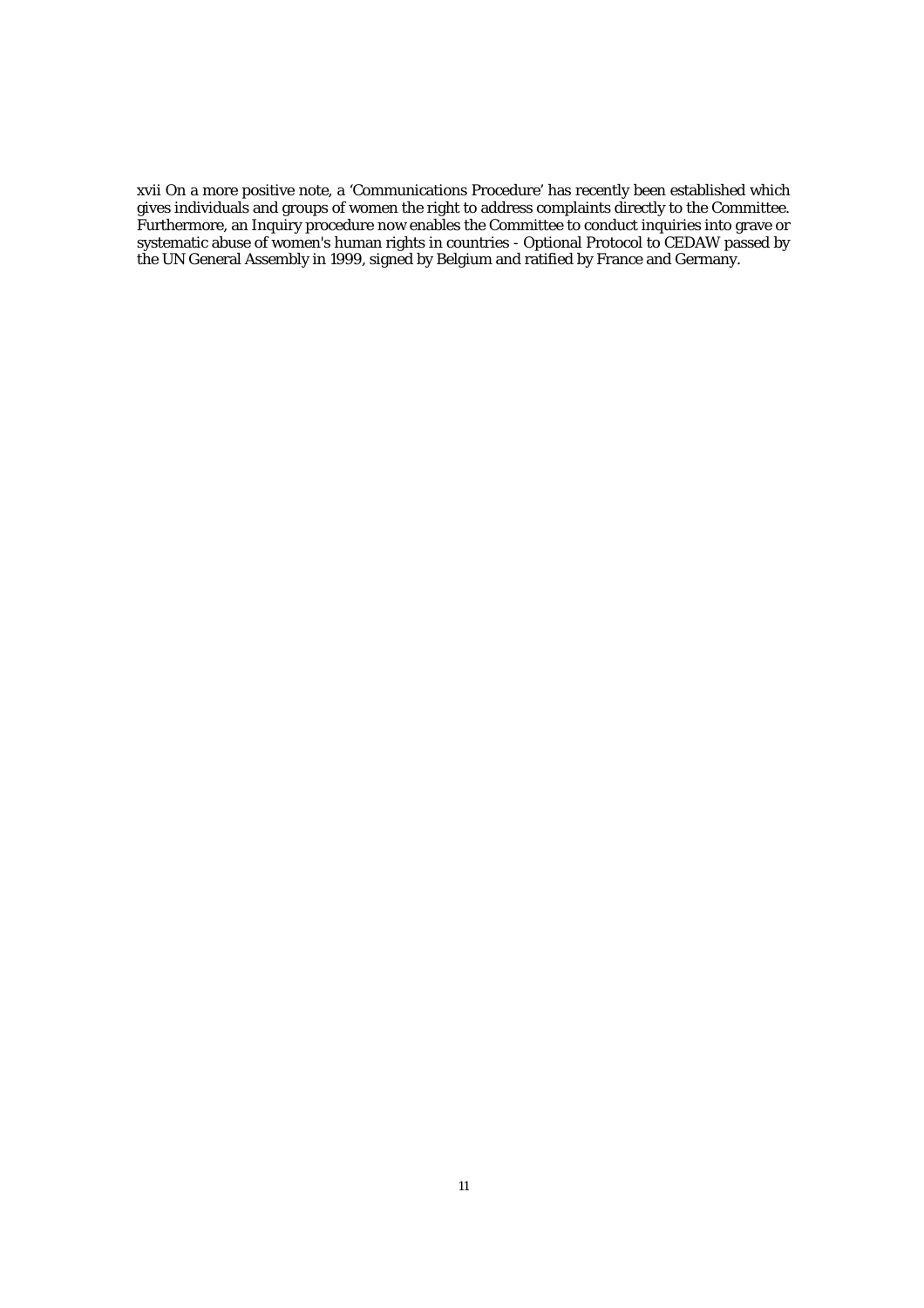xvii On a more positive note, a 'Communications Procedure' has recently been established which gives individuals and groups of women the right to address complaints directly to the Committee. Furthermore, an Inquiry procedure now enables the Committee to conduct inquiries into grave or systematic abuse of women's human rights in countries - Optional Protocol to CEDAW passed by the UN General Assembly in 1999, signed by Belgium and ratified by France and Germany.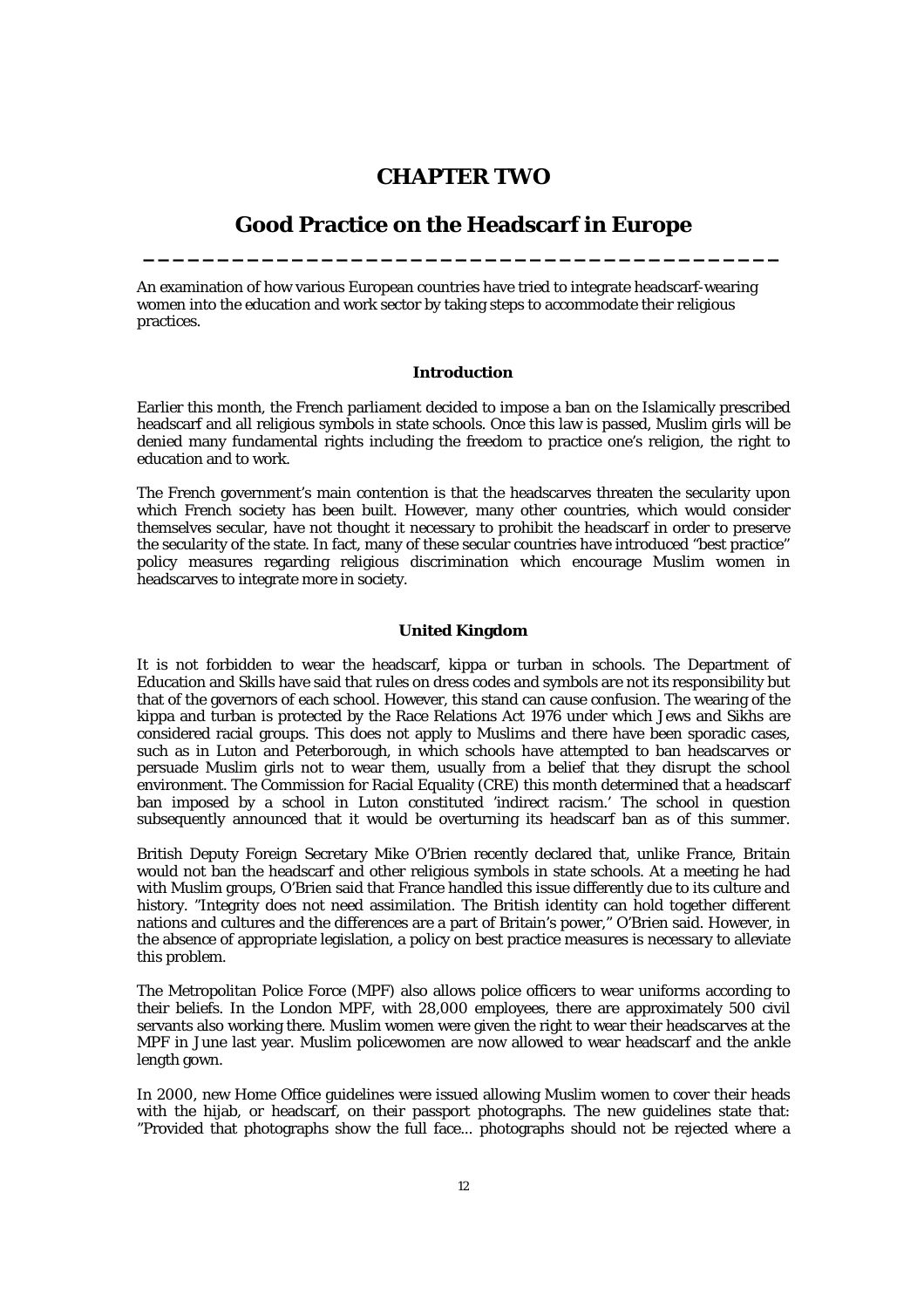# **CHAPTER TWO**

# **Good Practice on the Headscarf in Europe \_\_\_\_\_\_\_\_\_\_\_\_\_\_\_\_\_\_\_\_\_\_\_\_\_\_\_\_\_\_\_\_\_\_\_\_\_\_\_\_\_\_\_**

An examination of how various European countries have tried to integrate headscarf-wearing women into the education and work sector by taking steps to accommodate their religious practices.

# **Introduction**

Earlier this month, the French parliament decided to impose a ban on the Islamically prescribed headscarf and all religious symbols in state schools. Once this law is passed, Muslim girls will be denied many fundamental rights including the freedom to practice one's religion, the right to education and to work.

The French government's main contention is that the headscarves threaten the secularity upon which French society has been built. However, many other countries, which would consider themselves secular, have not thought it necessary to prohibit the headscarf in order to preserve the secularity of the state. In fact, many of these secular countries have introduced "best practice" policy measures regarding religious discrimination which encourage Muslim women in headscarves to integrate more in society.

# **United Kingdom**

It is not forbidden to wear the headscarf, kippa or turban in schools. The Department of Education and Skills have said that rules on dress codes and symbols are not its responsibility but that of the governors of each school. However, this stand can cause confusion. The wearing of the kippa and turban is protected by the Race Relations Act 1976 under which Jews and Sikhs are considered racial groups. This does not apply to Muslims and there have been sporadic cases, such as in Luton and Peterborough, in which schools have attempted to ban headscarves or persuade Muslim girls not to wear them, usually from a belief that they disrupt the school environment. The Commission for Racial Equality (CRE) this month determined that a headscarf ban imposed by a school in Luton constituted 'indirect racism.' The school in question subsequently announced that it would be overturning its headscarf ban as of this summer.

British Deputy Foreign Secretary Mike O'Brien recently declared that, unlike France, Britain would not ban the headscarf and other religious symbols in state schools. At a meeting he had with Muslim groups, O'Brien said that France handled this issue differently due to its culture and history. "Integrity does not need assimilation. The British identity can hold together different nations and cultures and the differences are a part of Britain's power," O'Brien said. However, in the absence of appropriate legislation, a policy on best practice measures is necessary to alleviate this problem.

The Metropolitan Police Force (MPF) also allows police officers to wear uniforms according to their beliefs. In the London MPF, with 28,000 employees, there are approximately 500 civil servants also working there. Muslim women were given the right to wear their headscarves at the MPF in June last year. Muslim policewomen are now allowed to wear headscarf and the ankle length gown.

In 2000, new Home Office guidelines were issued allowing Muslim women to cover their heads with the hijab, or headscarf, on their passport photographs. The new guidelines state that: "Provided that photographs show the full face... photographs should not be rejected where a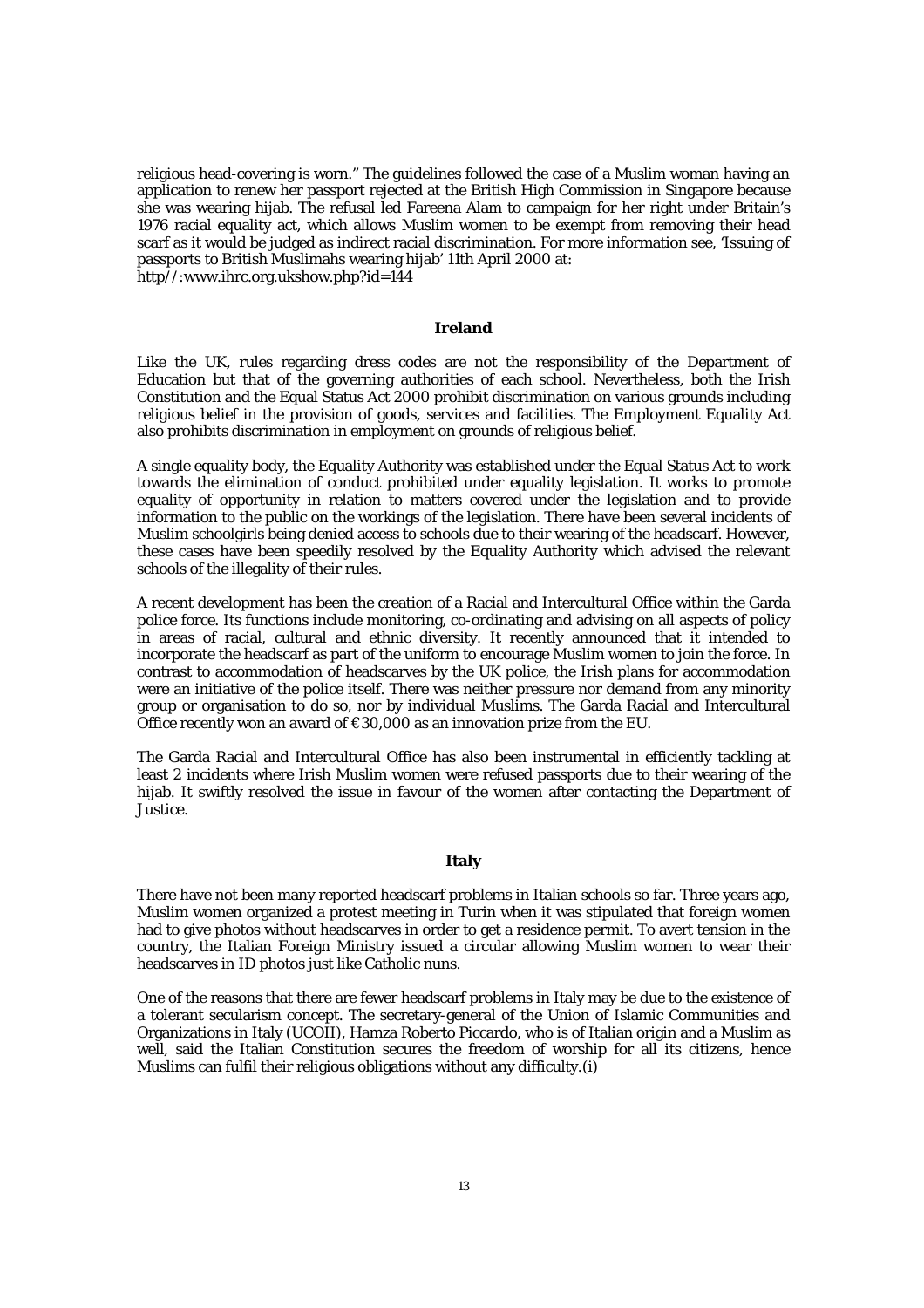religious head-covering is worn." The guidelines followed the case of a Muslim woman having an application to renew her passport rejected at the British High Commission in Singapore because she was wearing hijab. The refusal led Fareena Alam to campaign for her right under Britain's 1976 racial equality act, which allows Muslim women to be exempt from removing their head scarf as it would be judged as indirect racial discrimination. For more information see, 'Issuing of passports to British Muslimahs wearing hijab' 11th April 2000 at: http//:www.ihrc.org.ukshow.php?id=144

## **Ireland**

Like the UK, rules regarding dress codes are not the responsibility of the Department of Education but that of the governing authorities of each school. Nevertheless, both the Irish Constitution and the Equal Status Act 2000 prohibit discrimination on various grounds including religious belief in the provision of goods, services and facilities. The Employment Equality Act also prohibits discrimination in employment on grounds of religious belief.

A single equality body, the Equality Authority was established under the Equal Status Act to work towards the elimination of conduct prohibited under equality legislation. It works to promote equality of opportunity in relation to matters covered under the legislation and to provide information to the public on the workings of the legislation. There have been several incidents of Muslim schoolgirls being denied access to schools due to their wearing of the headscarf. However, these cases have been speedily resolved by the Equality Authority which advised the relevant schools of the illegality of their rules.

A recent development has been the creation of a Racial and Intercultural Office within the Garda police force. Its functions include monitoring, co-ordinating and advising on all aspects of policy in areas of racial, cultural and ethnic diversity. It recently announced that it intended to incorporate the headscarf as part of the uniform to encourage Muslim women to join the force. In contrast to accommodation of headscarves by the UK police, the Irish plans for accommodation were an initiative of the police itself. There was neither pressure nor demand from any minority group or organisation to do so, nor by individual Muslims. The Garda Racial and Intercultural Office recently won an award of  $\epsilon$ 30,000 as an innovation prize from the EU.

The Garda Racial and Intercultural Office has also been instrumental in efficiently tackling at least 2 incidents where Irish Muslim women were refused passports due to their wearing of the hijab. It swiftly resolved the issue in favour of the women after contacting the Department of Justice.

# **Italy**

There have not been many reported headscarf problems in Italian schools so far. Three years ago, Muslim women organized a protest meeting in Turin when it was stipulated that foreign women had to give photos without headscarves in order to get a residence permit. To avert tension in the country, the Italian Foreign Ministry issued a circular allowing Muslim women to wear their headscarves in ID photos just like Catholic nuns.

One of the reasons that there are fewer headscarf problems in Italy may be due to the existence of a tolerant secularism concept. The secretary-general of the Union of Islamic Communities and Organizations in Italy (UCOII), Hamza Roberto Piccardo, who is of Italian origin and a Muslim as well, said the Italian Constitution secures the freedom of worship for all its citizens, hence Muslims can fulfil their religious obligations without any difficulty.(i)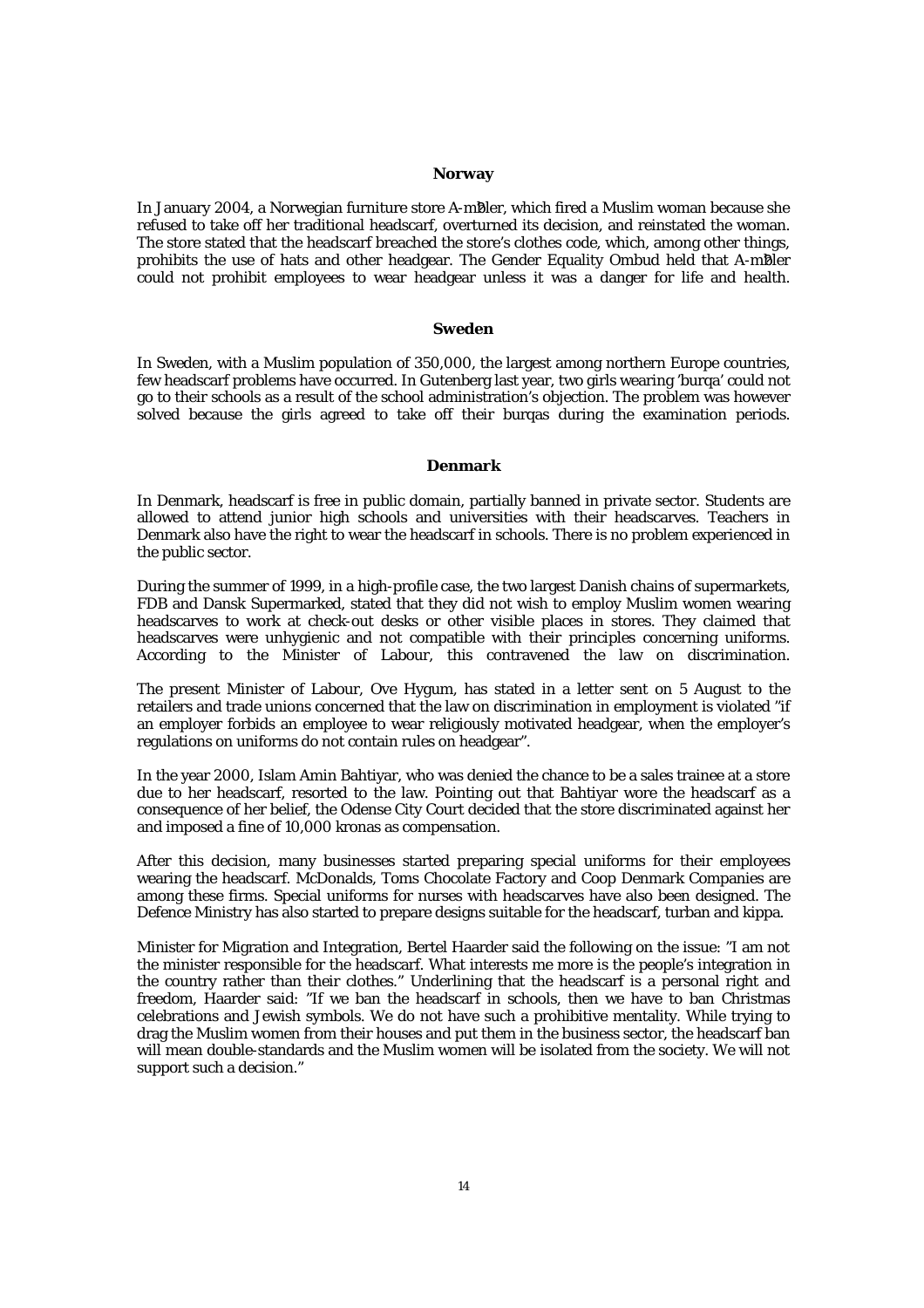## **Norway**

In January 2004, a Norwegian furniture store A-mBler, which fired a Muslim woman because she refused to take off her traditional headscarf, overturned its decision, and reinstated the woman. The store stated that the headscarf breached the store's clothes code, which, among other things, prohibits the use of hats and other headgear. The Gender Equality Ombud held that A-mBler could not prohibit employees to wear headgear unless it was a danger for life and health.

#### **Sweden**

In Sweden, with a Muslim population of 350,000, the largest among northern Europe countries, few headscarf problems have occurred. In Gutenberg last year, two girls wearing 'burqa' could not go to their schools as a result of the school administration's objection. The problem was however solved because the girls agreed to take off their burqas during the examination periods.

# **Denmark**

In Denmark, headscarf is free in public domain, partially banned in private sector. Students are allowed to attend junior high schools and universities with their headscarves. Teachers in Denmark also have the right to wear the headscarf in schools. There is no problem experienced in the public sector.

During the summer of 1999, in a high-profile case, the two largest Danish chains of supermarkets, FDB and Dansk Supermarked, stated that they did not wish to employ Muslim women wearing headscarves to work at check-out desks or other visible places in stores. They claimed that headscarves were unhygienic and not compatible with their principles concerning uniforms. According to the Minister of Labour, this contravened the law on discrimination.

The present Minister of Labour, Ove Hygum, has stated in a letter sent on 5 August to the retailers and trade unions concerned that the law on discrimination in employment is violated "if an employer forbids an employee to wear religiously motivated headgear, when the employer's regulations on uniforms do not contain rules on headgear".

In the year 2000, Islam Amin Bahtiyar, who was denied the chance to be a sales trainee at a store due to her headscarf, resorted to the law. Pointing out that Bahtiyar wore the headscarf as a consequence of her belief, the Odense City Court decided that the store discriminated against her and imposed a fine of 10,000 kronas as compensation.

After this decision, many businesses started preparing special uniforms for their employees wearing the headscarf. McDonalds, Toms Chocolate Factory and Coop Denmark Companies are among these firms. Special uniforms for nurses with headscarves have also been designed. The Defence Ministry has also started to prepare designs suitable for the headscarf, turban and kippa.

Minister for Migration and Integration, Bertel Haarder said the following on the issue: "I am not the minister responsible for the headscarf. What interests me more is the people's integration in the country rather than their clothes." Underlining that the headscarf is a personal right and freedom, Haarder said: "If we ban the headscarf in schools, then we have to ban Christmas celebrations and Jewish symbols. We do not have such a prohibitive mentality. While trying to drag the Muslim women from their houses and put them in the business sector, the headscarf ban will mean double-standards and the Muslim women will be isolated from the society. We will not support such a decision."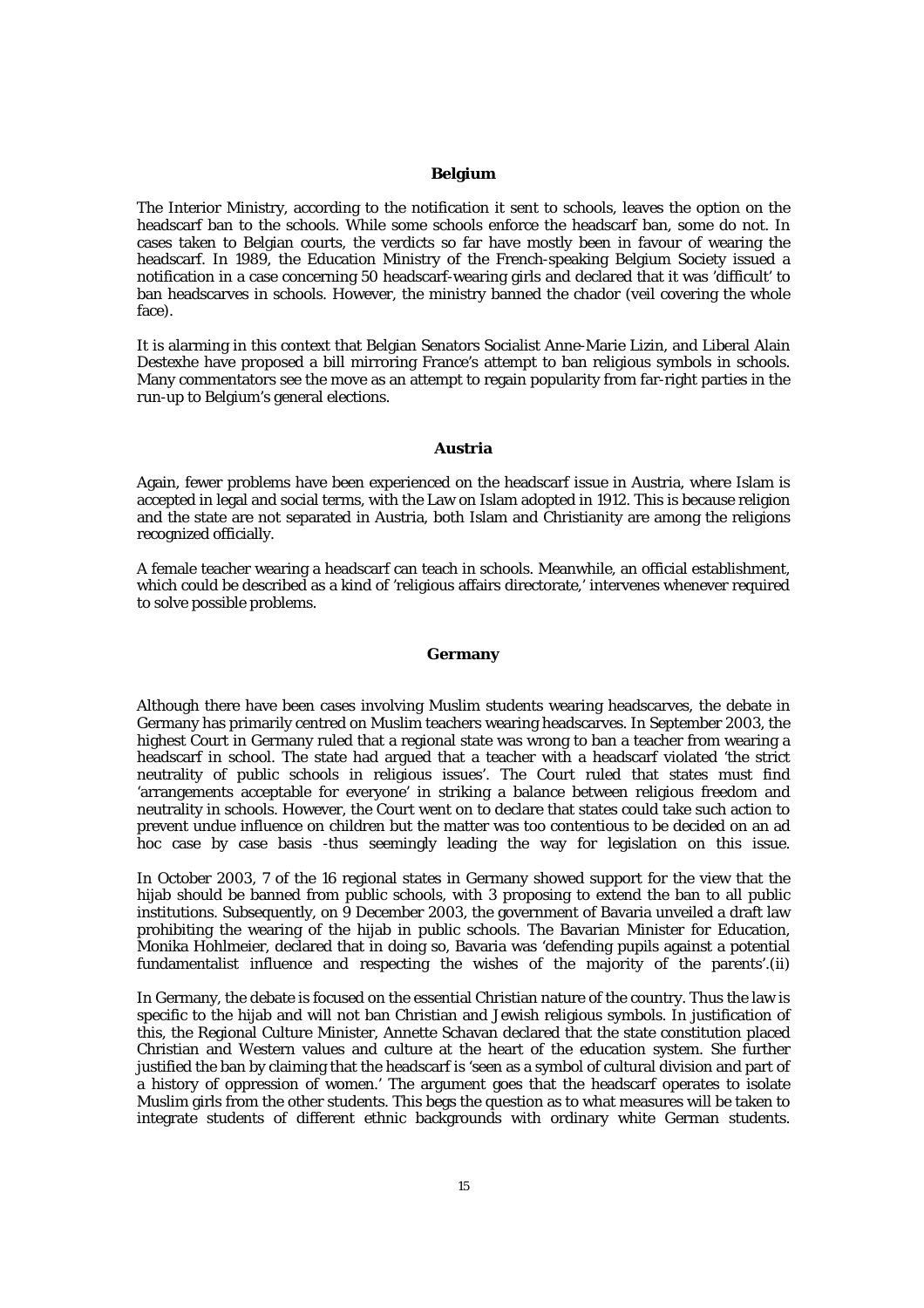# **Belgium**

The Interior Ministry, according to the notification it sent to schools, leaves the option on the headscarf ban to the schools. While some schools enforce the headscarf ban, some do not. In cases taken to Belgian courts, the verdicts so far have mostly been in favour of wearing the headscarf. In 1989, the Education Ministry of the French-speaking Belgium Society issued a notification in a case concerning 50 headscarf-wearing girls and declared that it was 'difficult' to ban headscarves in schools. However, the ministry banned the chador (veil covering the whole face).

It is alarming in this context that Belgian Senators Socialist Anne-Marie Lizin, and Liberal Alain Destexhe have proposed a bill mirroring France's attempt to ban religious symbols in schools. Many commentators see the move as an attempt to regain popularity from far-right parties in the run-up to Belgium's general elections.

# **Austria**

Again, fewer problems have been experienced on the headscarf issue in Austria, where Islam is accepted in legal and social terms, with the Law on Islam adopted in 1912. This is because religion and the state are not separated in Austria, both Islam and Christianity are among the religions recognized officially.

A female teacher wearing a headscarf can teach in schools. Meanwhile, an official establishment, which could be described as a kind of 'religious affairs directorate,' intervenes whenever required to solve possible problems.

# **Germany**

Although there have been cases involving Muslim students wearing headscarves, the debate in Germany has primarily centred on Muslim teachers wearing headscarves. In September 2003, the highest Court in Germany ruled that a regional state was wrong to ban a teacher from wearing a headscarf in school. The state had argued that a teacher with a headscarf violated 'the strict neutrality of public schools in religious issues'. The Court ruled that states must find 'arrangements acceptable for everyone' in striking a balance between religious freedom and neutrality in schools. However, the Court went on to declare that states could take such action to prevent undue influence on children but the matter was too contentious to be decided on an ad hoc case by case basis -thus seemingly leading the way for legislation on this issue.

In October 2003, 7 of the 16 regional states in Germany showed support for the view that the hijab should be banned from public schools, with 3 proposing to extend the ban to all public institutions. Subsequently, on 9 December 2003, the government of Bavaria unveiled a draft law prohibiting the wearing of the hijab in public schools. The Bavarian Minister for Education, Monika Hohlmeier, declared that in doing so, Bavaria was 'defending pupils against a potential fundamentalist influence and respecting the wishes of the majority of the parents'.(ii)

In Germany, the debate is focused on the essential Christian nature of the country. Thus the law is specific to the hijab and will not ban Christian and Jewish religious symbols. In justification of this, the Regional Culture Minister, Annette Schavan declared that the state constitution placed Christian and Western values and culture at the heart of the education system. She further justified the ban by claiming that the headscarf is 'seen as a symbol of cultural division and part of a history of oppression of women.' The argument goes that the headscarf operates to isolate Muslim girls from the other students. This begs the question as to what measures will be taken to integrate students of different ethnic backgrounds with ordinary white German students.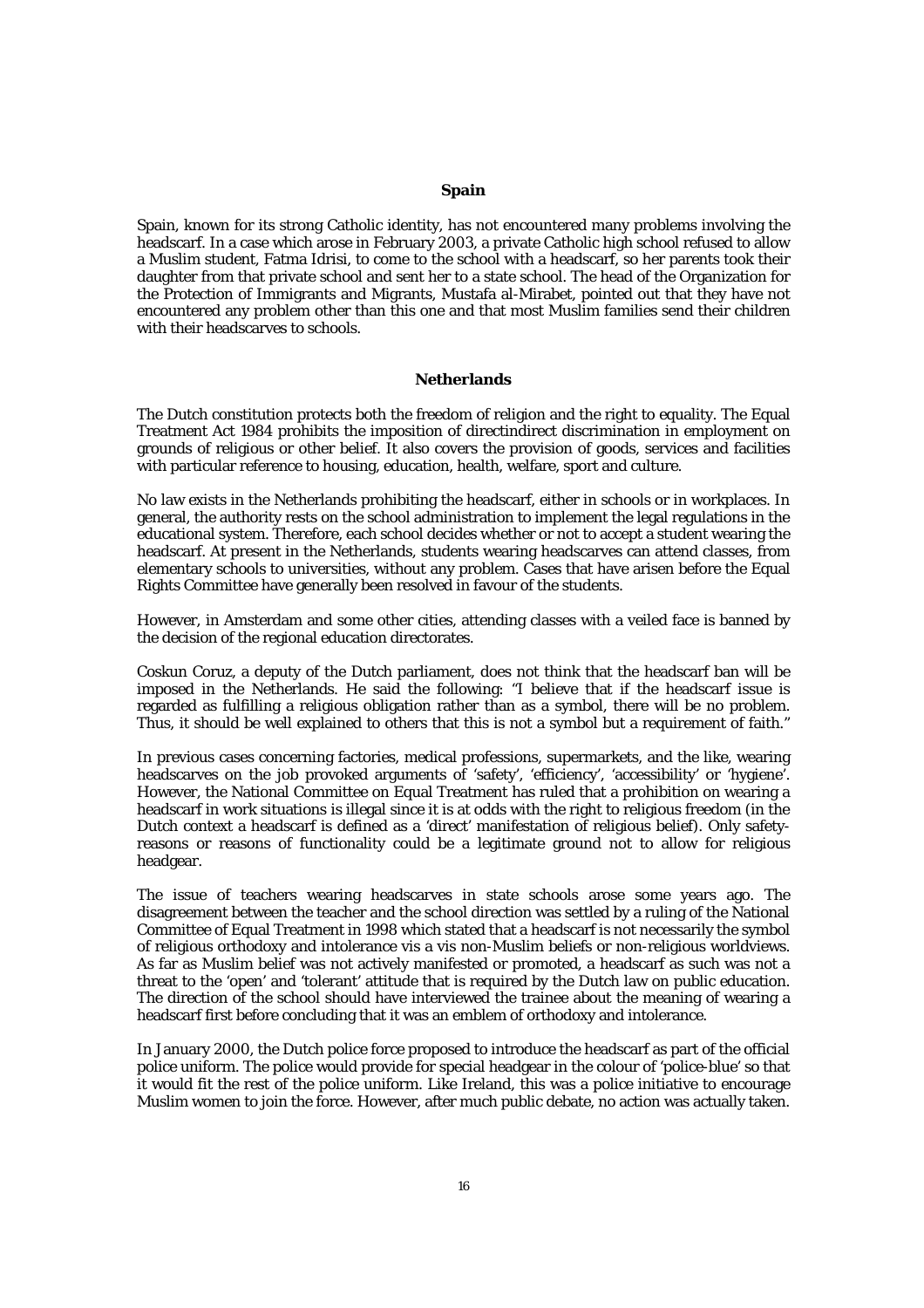## **Spain**

Spain, known for its strong Catholic identity, has not encountered many problems involving the headscarf. In a case which arose in February 2003, a private Catholic high school refused to allow a Muslim student, Fatma Idrisi, to come to the school with a headscarf, so her parents took their daughter from that private school and sent her to a state school. The head of the Organization for the Protection of Immigrants and Migrants, Mustafa al-Mirabet, pointed out that they have not encountered any problem other than this one and that most Muslim families send their children with their headscarves to schools.

# **Netherlands**

The Dutch constitution protects both the freedom of religion and the right to equality. The Equal Treatment Act 1984 prohibits the imposition of directindirect discrimination in employment on grounds of religious or other belief. It also covers the provision of goods, services and facilities with particular reference to housing, education, health, welfare, sport and culture.

No law exists in the Netherlands prohibiting the headscarf, either in schools or in workplaces. In general, the authority rests on the school administration to implement the legal regulations in the educational system. Therefore, each school decides whether or not to accept a student wearing the headscarf. At present in the Netherlands, students wearing headscarves can attend classes, from elementary schools to universities, without any problem. Cases that have arisen before the Equal Rights Committee have generally been resolved in favour of the students.

However, in Amsterdam and some other cities, attending classes with a veiled face is banned by the decision of the regional education directorates.

Coskun Coruz, a deputy of the Dutch parliament, does not think that the headscarf ban will be imposed in the Netherlands. He said the following: "I believe that if the headscarf issue is regarded as fulfilling a religious obligation rather than as a symbol, there will be no problem. Thus, it should be well explained to others that this is not a symbol but a requirement of faith."

In previous cases concerning factories, medical professions, supermarkets, and the like, wearing headscarves on the job provoked arguments of 'safety', 'efficiency', 'accessibility' or 'hygiene'. However, the National Committee on Equal Treatment has ruled that a prohibition on wearing a headscarf in work situations is illegal since it is at odds with the right to religious freedom (in the Dutch context a headscarf is defined as a 'direct' manifestation of religious belief). Only safetyreasons or reasons of functionality could be a legitimate ground not to allow for religious headgear.

The issue of teachers wearing headscarves in state schools arose some years ago. The disagreement between the teacher and the school direction was settled by a ruling of the National Committee of Equal Treatment in 1998 which stated that a headscarf is not necessarily the symbol of religious orthodoxy and intolerance vis a vis non-Muslim beliefs or non-religious worldviews. As far as Muslim belief was not actively manifested or promoted, a headscarf as such was not a threat to the 'open' and 'tolerant' attitude that is required by the Dutch law on public education. The direction of the school should have interviewed the trainee about the meaning of wearing a headscarf first before concluding that it was an emblem of orthodoxy and intolerance.

In January 2000, the Dutch police force proposed to introduce the headscarf as part of the official police uniform. The police would provide for special headgear in the colour of 'police-blue' so that it would fit the rest of the police uniform. Like Ireland, this was a police initiative to encourage Muslim women to join the force. However, after much public debate, no action was actually taken.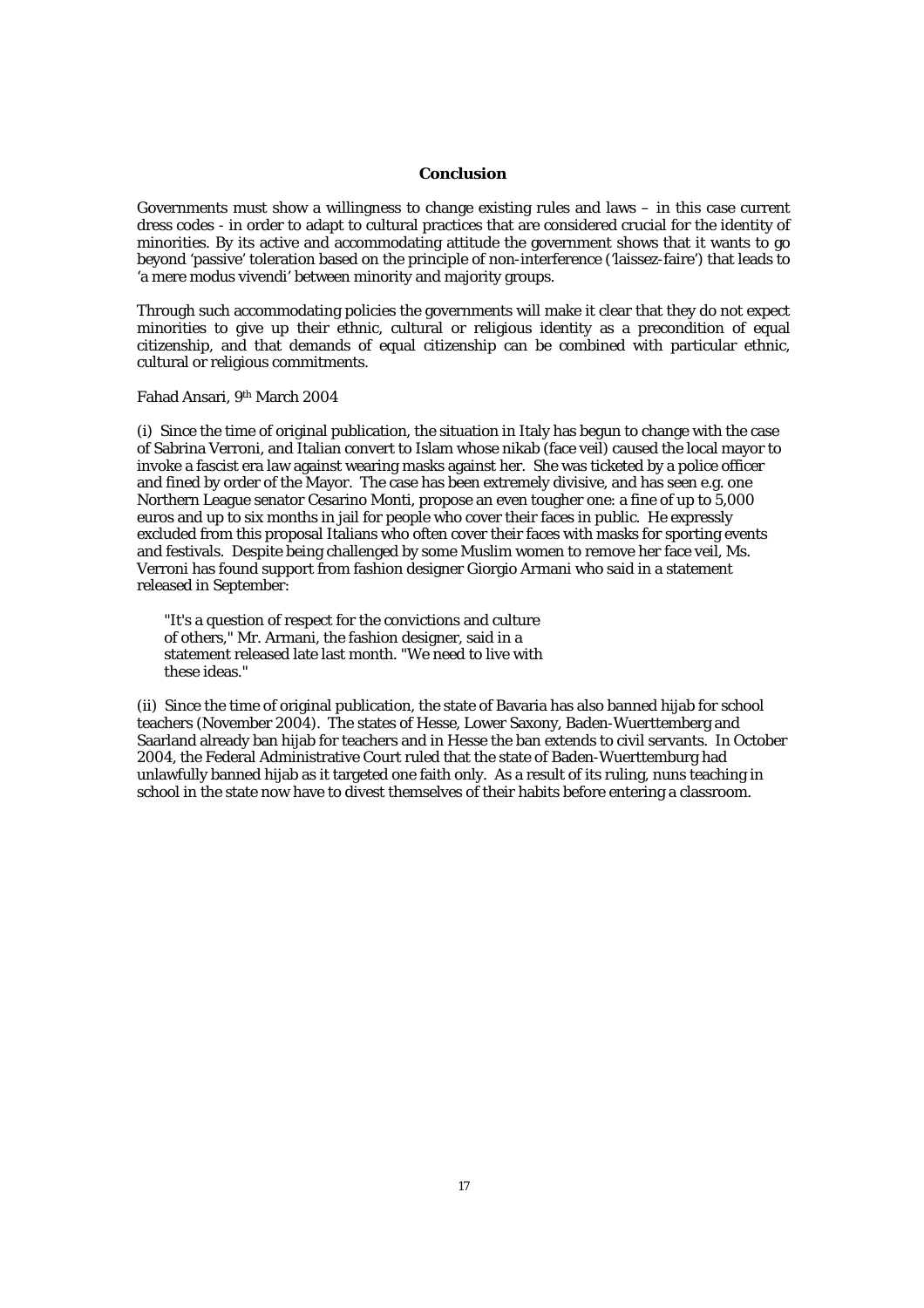# **Conclusion**

Governments must show a willingness to change existing rules and laws – in this case current dress codes - in order to adapt to cultural practices that are considered crucial for the identity of minorities. By its active and accommodating attitude the government shows that it wants to go beyond 'passive' toleration based on the principle of non-interference ('laissez-faire') that leads to 'a mere modus vivendi' between minority and majority groups.

Through such accommodating policies the governments will make it clear that they do not expect minorities to give up their ethnic, cultural or religious identity as a precondition of equal citizenship, and that demands of equal citizenship can be combined with particular ethnic, cultural or religious commitments.

#### Fahad Ansari, 9th March 2004

(i) Since the time of original publication, the situation in Italy has begun to change with the case of Sabrina Verroni, and Italian convert to Islam whose nikab (face veil) caused the local mayor to invoke a fascist era law against wearing masks against her. She was ticketed by a police officer and fined by order of the Mayor. The case has been extremely divisive, and has seen e.g. one Northern League senator Cesarino Monti, propose an even tougher one: a fine of up to 5,000 euros and up to six months in jail for people who cover their faces in public. He expressly excluded from this proposal Italians who often cover their faces with masks for sporting events and festivals. Despite being challenged by some Muslim women to remove her face veil, Ms. Verroni has found support from fashion designer Giorgio Armani who said in a statement released in September:

"It's a question of respect for the convictions and culture of others," Mr. Armani, the fashion designer, said in a statement released late last month. "We need to live with these ideas."

(ii) Since the time of original publication, the state of Bavaria has also banned hijab for school teachers (November 2004). The states of Hesse, Lower Saxony, Baden-Wuerttemberg and Saarland already ban hijab for teachers and in Hesse the ban extends to civil servants. In October 2004, the Federal Administrative Court ruled that the state of Baden-Wuerttemburg had unlawfully banned hijab as it targeted one faith only. As a result of its ruling, nuns teaching in school in the state now have to divest themselves of their habits before entering a classroom.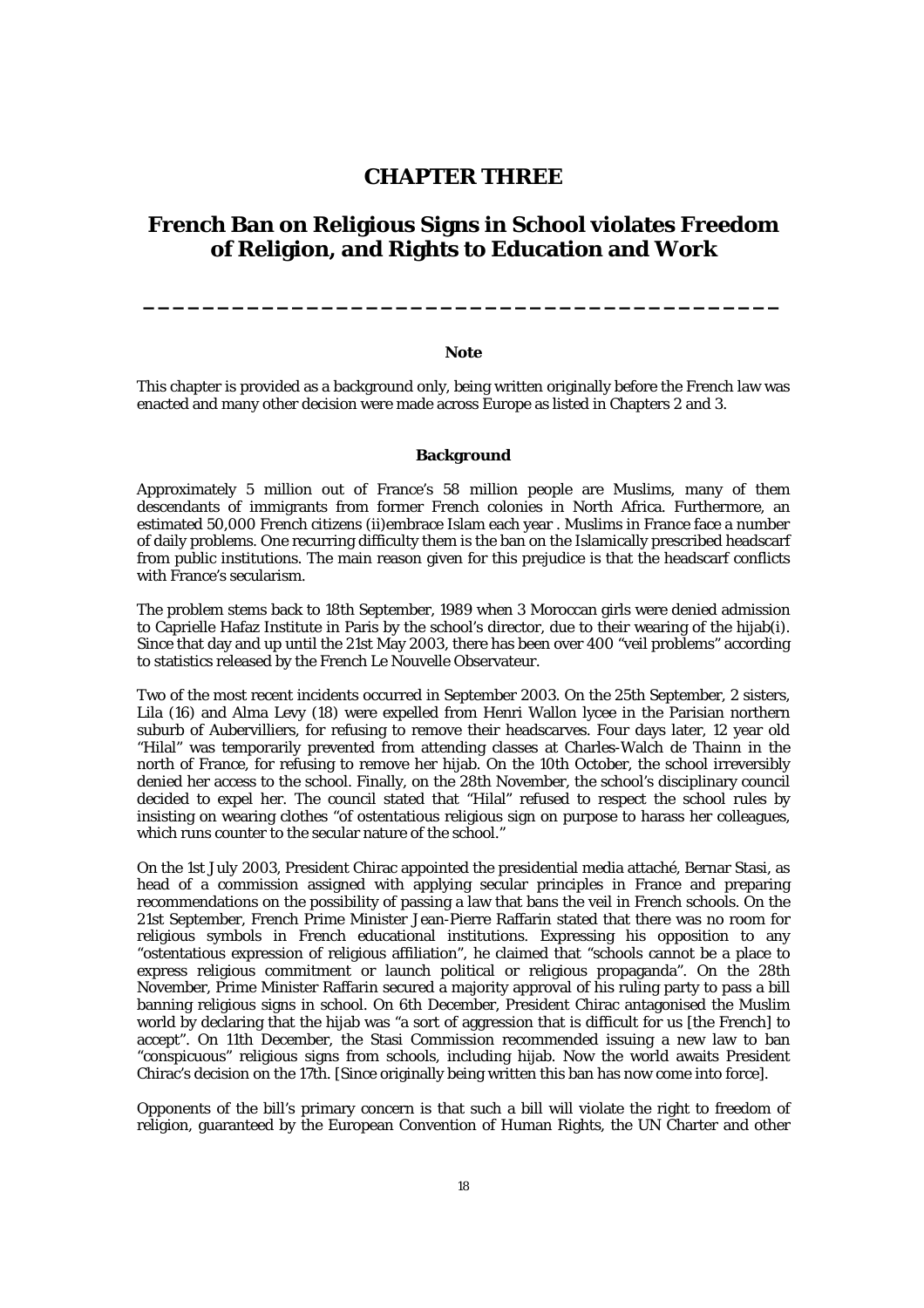# **CHAPTER THREE**

# **French Ban on Religious Signs in School violates Freedom of Religion, and Rights to Education and Work**

#### **Note**

**\_\_\_\_\_\_\_\_\_\_\_\_\_\_\_\_\_\_\_\_\_\_\_\_\_\_\_\_\_\_\_\_\_\_\_\_\_\_\_\_\_\_\_**

This chapter is provided as a background only, being written originally before the French law was enacted and many other decision were made across Europe as listed in Chapters 2 and 3.

# **Background**

Approximately 5 million out of France's 58 million people are Muslims, many of them descendants of immigrants from former French colonies in North Africa. Furthermore, an estimated 50,000 French citizens (ii)embrace Islam each year . Muslims in France face a number of daily problems. One recurring difficulty them is the ban on the Islamically prescribed headscarf from public institutions. The main reason given for this prejudice is that the headscarf conflicts with France's secularism.

The problem stems back to 18th September, 1989 when 3 Moroccan girls were denied admission to Caprielle Hafaz Institute in Paris by the school's director, due to their wearing of the hijab(i). Since that day and up until the 21st May 2003, there has been over 400 "veil problems" according to statistics released by the French Le Nouvelle Observateur.

Two of the most recent incidents occurred in September 2003. On the 25th September, 2 sisters, Lila (16) and Alma Levy (18) were expelled from Henri Wallon lycee in the Parisian northern suburb of Aubervilliers, for refusing to remove their headscarves. Four days later, 12 year old "Hilal" was temporarily prevented from attending classes at Charles-Walch de Thainn in the north of France, for refusing to remove her hijab. On the 10th October, the school irreversibly denied her access to the school. Finally, on the 28th November, the school's disciplinary council decided to expel her. The council stated that "Hilal" refused to respect the school rules by insisting on wearing clothes "of ostentatious religious sign on purpose to harass her colleagues, which runs counter to the secular nature of the school."

On the 1st July 2003, President Chirac appointed the presidential media attaché, Bernar Stasi, as head of a commission assigned with applying secular principles in France and preparing recommendations on the possibility of passing a law that bans the veil in French schools. On the 21st September, French Prime Minister Jean-Pierre Raffarin stated that there was no room for religious symbols in French educational institutions. Expressing his opposition to any "ostentatious expression of religious affiliation", he claimed that "schools cannot be a place to express religious commitment or launch political or religious propaganda". On the 28th November, Prime Minister Raffarin secured a majority approval of his ruling party to pass a bill banning religious signs in school. On 6th December, President Chirac antagonised the Muslim world by declaring that the hijab was "a sort of aggression that is difficult for us [the French] to accept". On 11th December, the Stasi Commission recommended issuing a new law to ban "conspicuous" religious signs from schools, including hijab. Now the world awaits President Chirac's decision on the 17th. [Since originally being written this ban has now come into force].

Opponents of the bill's primary concern is that such a bill will violate the right to freedom of religion, guaranteed by the European Convention of Human Rights, the UN Charter and other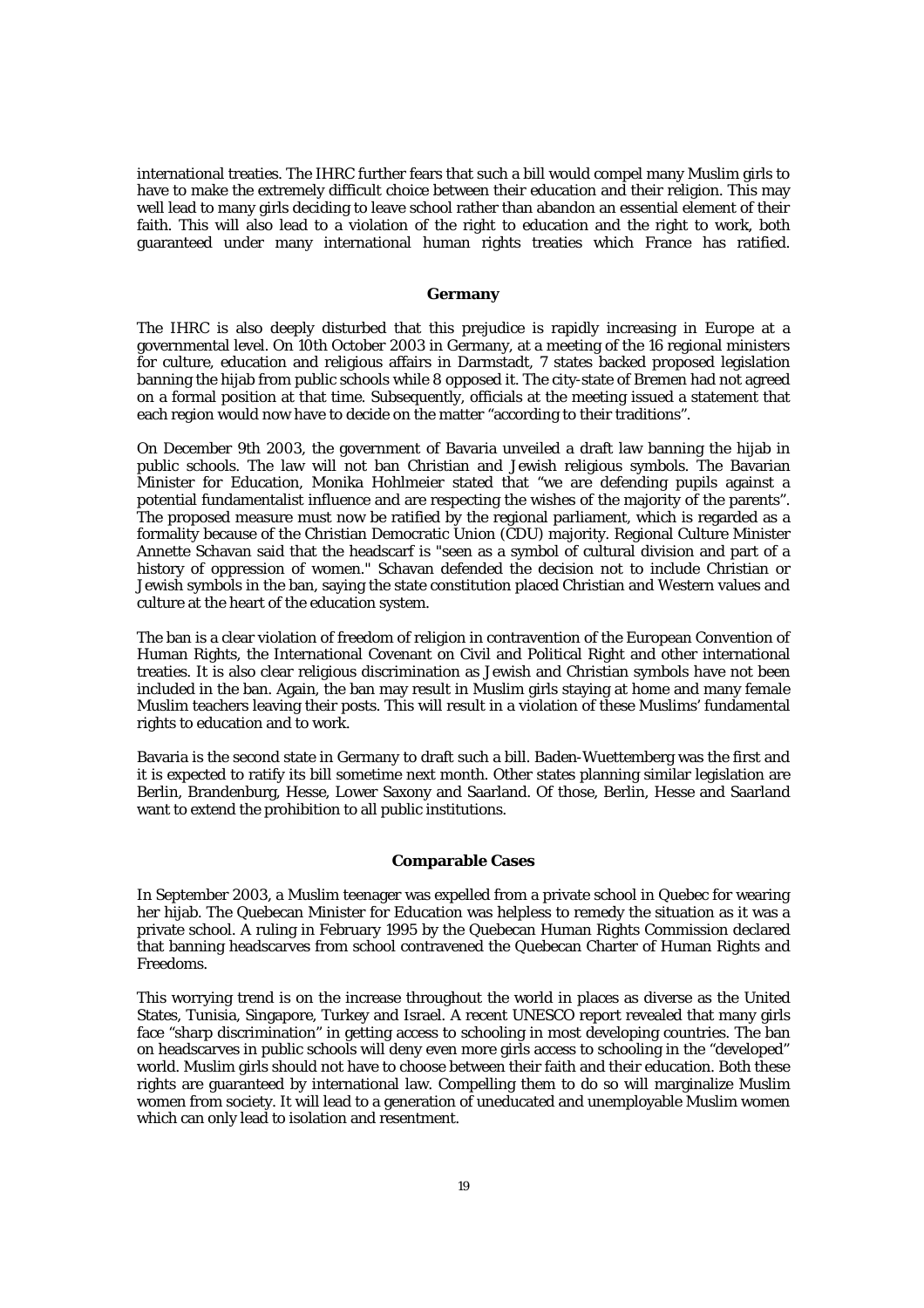international treaties. The IHRC further fears that such a bill would compel many Muslim girls to have to make the extremely difficult choice between their education and their religion. This may well lead to many girls deciding to leave school rather than abandon an essential element of their faith. This will also lead to a violation of the right to education and the right to work, both guaranteed under many international human rights treaties which France has ratified.

#### **Germany**

The IHRC is also deeply disturbed that this prejudice is rapidly increasing in Europe at a governmental level. On 10th October 2003 in Germany, at a meeting of the 16 regional ministers for culture, education and religious affairs in Darmstadt, 7 states backed proposed legislation banning the hijab from public schools while 8 opposed it. The city-state of Bremen had not agreed on a formal position at that time. Subsequently, officials at the meeting issued a statement that each region would now have to decide on the matter "according to their traditions".

On December 9th 2003, the government of Bavaria unveiled a draft law banning the hijab in public schools. The law will not ban Christian and Jewish religious symbols. The Bavarian Minister for Education, Monika Hohlmeier stated that "we are defending pupils against a potential fundamentalist influence and are respecting the wishes of the majority of the parents". The proposed measure must now be ratified by the regional parliament, which is regarded as a formality because of the Christian Democratic Union (CDU) majority. Regional Culture Minister Annette Schavan said that the headscarf is "seen as a symbol of cultural division and part of a history of oppression of women." Schavan defended the decision not to include Christian or Jewish symbols in the ban, saying the state constitution placed Christian and Western values and culture at the heart of the education system.

The ban is a clear violation of freedom of religion in contravention of the European Convention of Human Rights, the International Covenant on Civil and Political Right and other international treaties. It is also clear religious discrimination as Jewish and Christian symbols have not been included in the ban. Again, the ban may result in Muslim girls staying at home and many female Muslim teachers leaving their posts. This will result in a violation of these Muslims' fundamental rights to education and to work.

Bavaria is the second state in Germany to draft such a bill. Baden-Wuettemberg was the first and it is expected to ratify its bill sometime next month. Other states planning similar legislation are Berlin, Brandenburg, Hesse, Lower Saxony and Saarland. Of those, Berlin, Hesse and Saarland want to extend the prohibition to all public institutions.

# **Comparable Cases**

In September 2003, a Muslim teenager was expelled from a private school in Quebec for wearing her hijab. The Quebecan Minister for Education was helpless to remedy the situation as it was a private school. A ruling in February 1995 by the Quebecan Human Rights Commission declared that banning headscarves from school contravened the Quebecan Charter of Human Rights and Freedoms.

This worrying trend is on the increase throughout the world in places as diverse as the United States, Tunisia, Singapore, Turkey and Israel. A recent UNESCO report revealed that many girls face "sharp discrimination" in getting access to schooling in most developing countries. The ban on headscarves in public schools will deny even more girls access to schooling in the "developed" world. Muslim girls should not have to choose between their faith and their education. Both these rights are guaranteed by international law. Compelling them to do so will marginalize Muslim women from society. It will lead to a generation of uneducated and unemployable Muslim women which can only lead to isolation and resentment.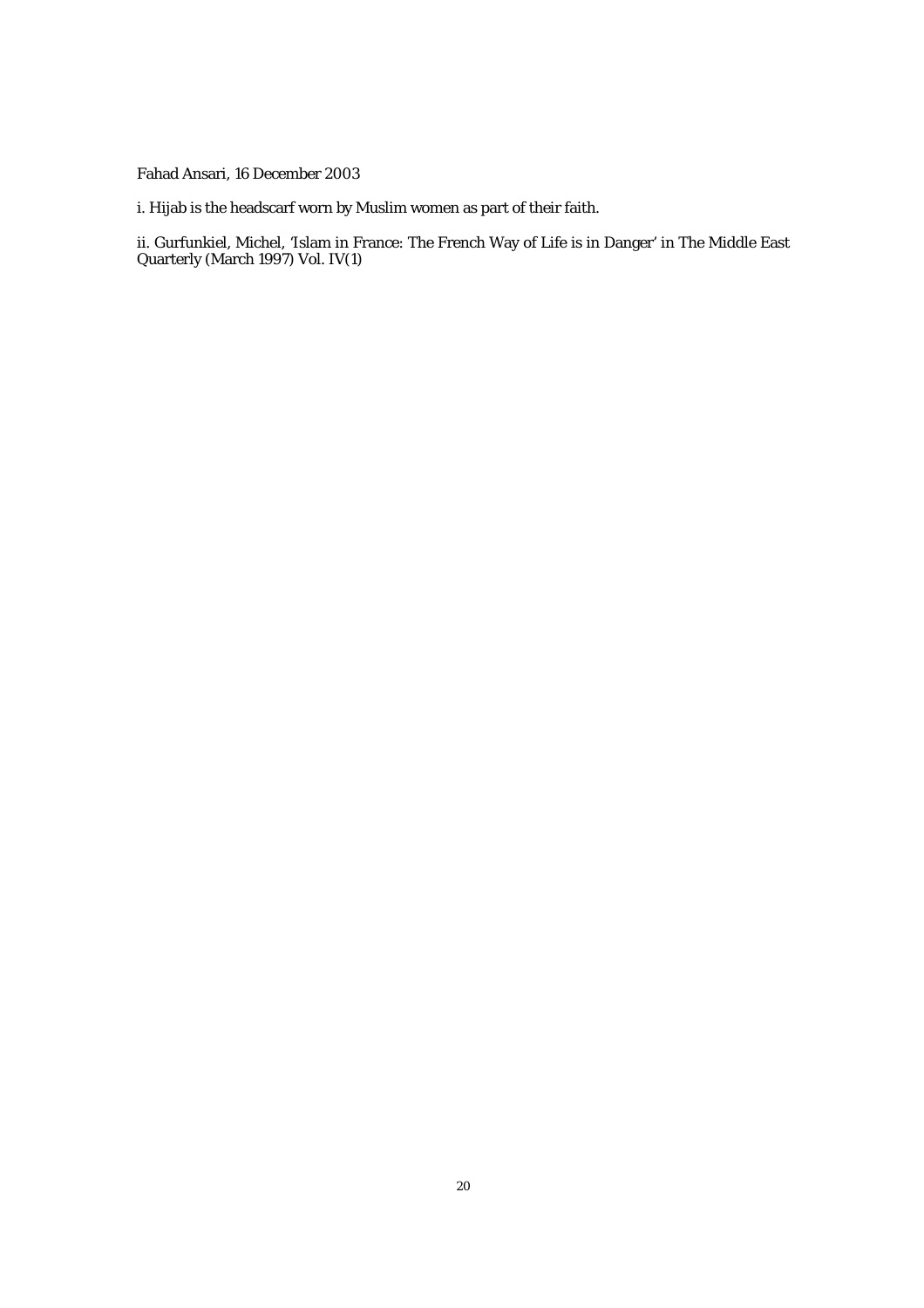Fahad Ansari, 16 December 2003

i. Hijab is the headscarf worn by Muslim women as part of their faith.

ii. Gurfunkiel, Michel, 'Islam in France: The French Way of Life is in Danger' in The Middle East Quarterly (March 1997) Vol. IV(1)